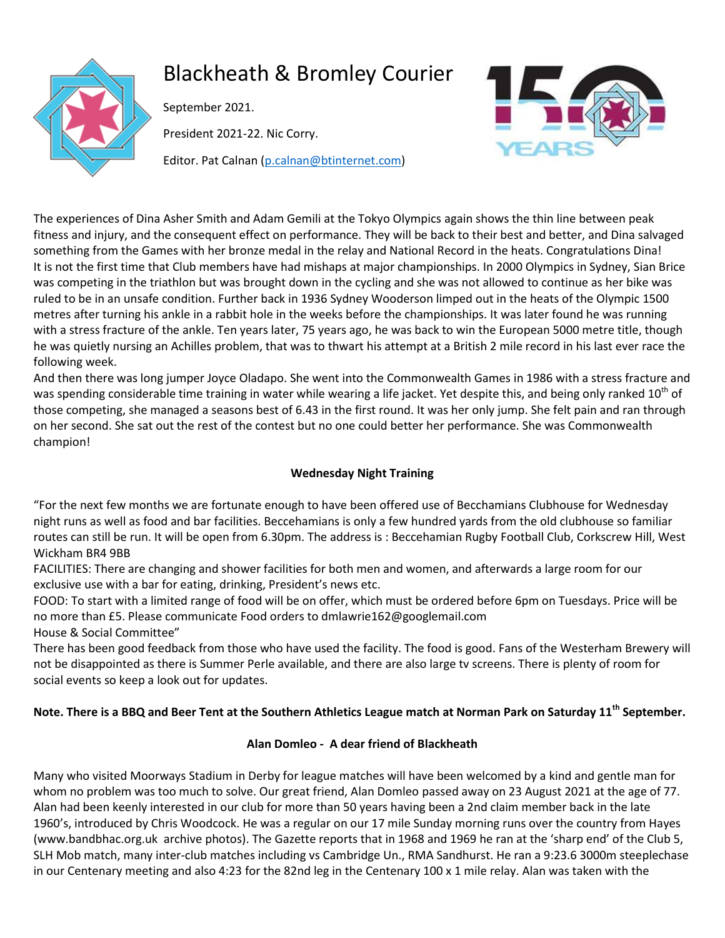

# Blackheath & Bromley Courier

September 2021.

President 2021-22. Nic Corry.

Editor. Pat Calnan [\(p.calnan@btinternet.com\)](mailto:p.calnan@btinternet.com)



The experiences of Dina Asher Smith and Adam Gemili at the Tokyo Olympics again shows the thin line between peak fitness and injury, and the consequent effect on performance. They will be back to their best and better, and Dina salvaged something from the Games with her bronze medal in the relay and National Record in the heats. Congratulations Dina! It is not the first time that Club members have had mishaps at major championships. In 2000 Olympics in Sydney, Sian Brice was competing in the triathlon but was brought down in the cycling and she was not allowed to continue as her bike was ruled to be in an unsafe condition. Further back in 1936 Sydney Wooderson limped out in the heats of the Olympic 1500 metres after turning his ankle in a rabbit hole in the weeks before the championships. It was later found he was running with a stress fracture of the ankle. Ten years later, 75 years ago, he was back to win the European 5000 metre title, though he was quietly nursing an Achilles problem, that was to thwart his attempt at a British 2 mile record in his last ever race the following week.

And then there was long jumper Joyce Oladapo. She went into the Commonwealth Games in 1986 with a stress fracture and was spending considerable time training in water while wearing a life jacket. Yet despite this, and being only ranked  $10<sup>th</sup>$  of those competing, she managed a seasons best of 6.43 in the first round. It was her only jump. She felt pain and ran through on her second. She sat out the rest of the contest but no one could better her performance. She was Commonwealth champion!

# **Wednesday Night Training**

"For the next few months we are fortunate enough to have been offered use of Becchamians Clubhouse for Wednesday night runs as well as food and bar facilities. Beccehamians is only a few hundred yards from the old clubhouse so familiar routes can still be run. It will be open from 6.30pm. The address is : Beccehamian Rugby Football Club, Corkscrew Hill, West Wickham BR4 9BB

FACILITIES: There are changing and shower facilities for both men and women, and afterwards a large room for our exclusive use with a bar for eating, drinking, President's news etc.

FOOD: To start with a limited range of food will be on offer, which must be ordered before 6pm on Tuesdays. Price will be no more than £5. Please communicate Food orders to dmlawrie162@googlemail.com

House & Social Committee"

There has been good feedback from those who have used the facility. The food is good. Fans of the Westerham Brewery will not be disappointed as there is Summer Perle available, and there are also large tv screens. There is plenty of room for social events so keep a look out for updates.

# **Note. There is a BBQ and Beer Tent at the Southern Athletics League match at Norman Park on Saturday 11th September.**

#### **Alan Domleo - A dear friend of Blackheath**

Many who visited Moorways Stadium in Derby for league matches will have been welcomed by a kind and gentle man for whom no problem was too much to solve. Our great friend, Alan Domleo passed away on 23 August 2021 at the age of 77. Alan had been keenly interested in our club for more than 50 years having been a 2nd claim member back in the late 1960's, introduced by Chris Woodcock. He was a regular on our 17 mile Sunday morning runs over the country from Hayes (www.bandbhac.org.uk archive photos). The Gazette reports that in 1968 and 1969 he ran at the 'sharp end' of the Club 5, SLH Mob match, many inter-club matches including vs Cambridge Un., RMA Sandhurst. He ran a 9:23.6 3000m steeplechase in our Centenary meeting and also 4:23 for the 82nd leg in the Centenary 100 x 1 mile relay. Alan was taken with the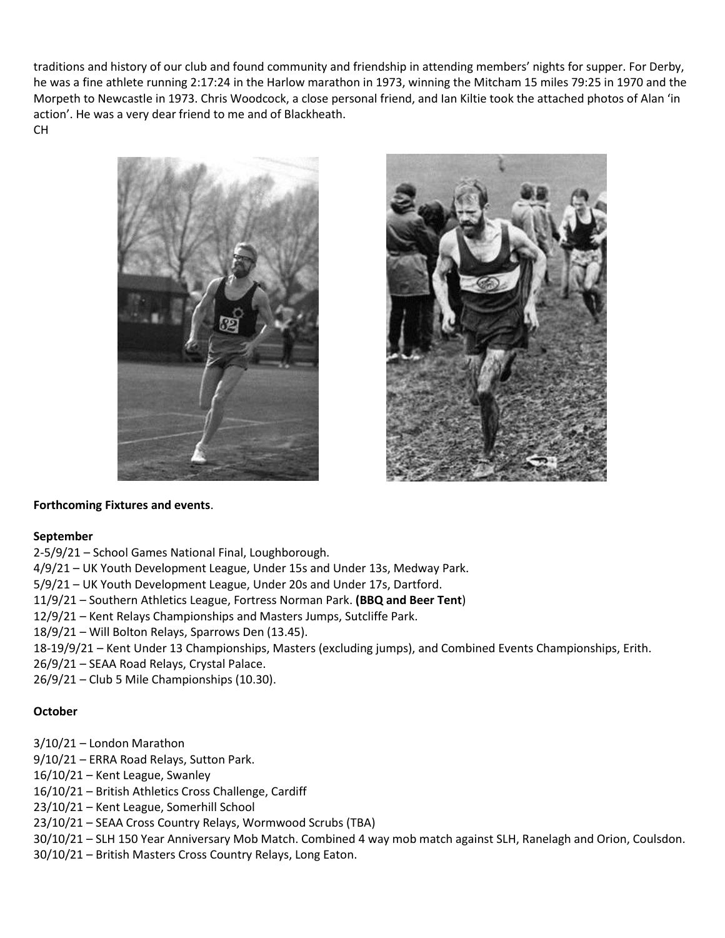traditions and history of our club and found community and friendship in attending members' nights for supper. For Derby, he was a fine athlete running 2:17:24 in the Harlow marathon in 1973, winning the Mitcham 15 miles 79:25 in 1970 and the Morpeth to Newcastle in 1973. Chris Woodcock, a close personal friend, and Ian Kiltie took the attached photos of Alan 'in action'. He was a very dear friend to me and of Blackheath. CH





#### **Forthcoming Fixtures and events**.

#### **September**

2-5/9/21 – School Games National Final, Loughborough.

4/9/21 – UK Youth Development League, Under 15s and Under 13s, Medway Park.

5/9/21 – UK Youth Development League, Under 20s and Under 17s, Dartford.

11/9/21 – Southern Athletics League, Fortress Norman Park. **(BBQ and Beer Tent**)

12/9/21 – Kent Relays Championships and Masters Jumps, Sutcliffe Park.

18/9/21 – Will Bolton Relays, Sparrows Den (13.45).

18-19/9/21 – Kent Under 13 Championships, Masters (excluding jumps), and Combined Events Championships, Erith.

26/9/21 – SEAA Road Relays, Crystal Palace.

26/9/21 – Club 5 Mile Championships (10.30).

#### **October**

- 3/10/21 London Marathon
- 9/10/21 ERRA Road Relays, Sutton Park.
- 16/10/21 Kent League, Swanley
- 16/10/21 British Athletics Cross Challenge, Cardiff
- 23/10/21 Kent League, Somerhill School
- 23/10/21 SEAA Cross Country Relays, Wormwood Scrubs (TBA)
- 30/10/21 SLH 150 Year Anniversary Mob Match. Combined 4 way mob match against SLH, Ranelagh and Orion, Coulsdon.
- 30/10/21 British Masters Cross Country Relays, Long Eaton.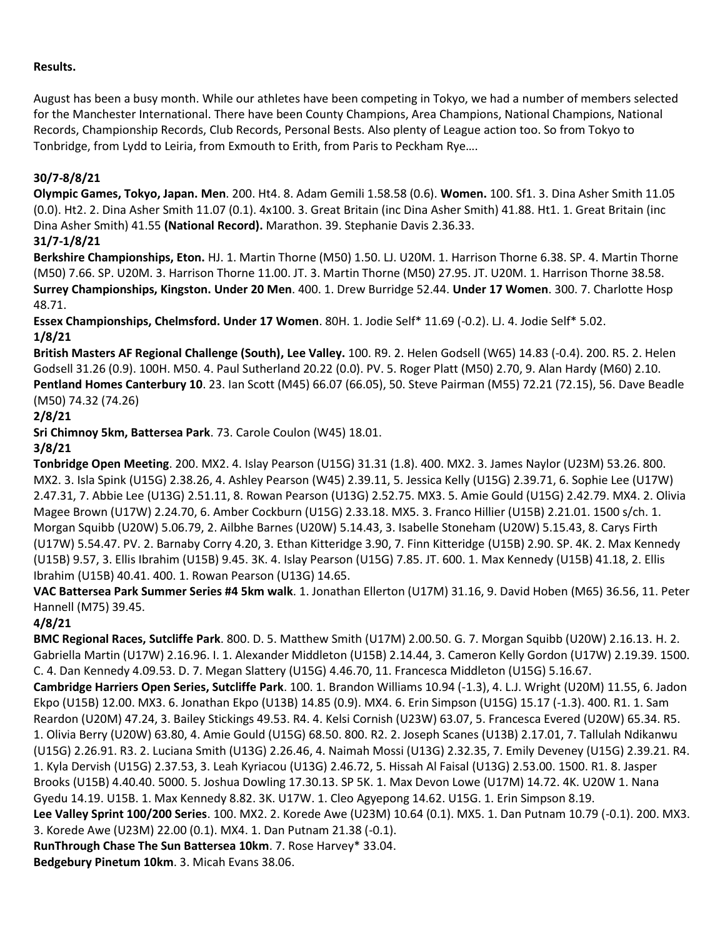#### **Results.**

August has been a busy month. While our athletes have been competing in Tokyo, we had a number of members selected for the Manchester International. There have been County Champions, Area Champions, National Champions, National Records, Championship Records, Club Records, Personal Bests. Also plenty of League action too. So from Tokyo to Tonbridge, from Lydd to Leiria, from Exmouth to Erith, from Paris to Peckham Rye….

#### **30/7-8/8/21**

**Olympic Games, Tokyo, Japan. Men**. 200. Ht4. 8. Adam Gemili 1.58.58 (0.6). **Women.** 100. Sf1. 3. Dina Asher Smith 11.05 (0.0). Ht2. 2. Dina Asher Smith 11.07 (0.1). 4x100. 3. Great Britain (inc Dina Asher Smith) 41.88. Ht1. 1. Great Britain (inc Dina Asher Smith) 41.55 **(National Record).** Marathon. 39. Stephanie Davis 2.36.33.

## **31/7-1/8/21**

**Berkshire Championships, Eton.** HJ. 1. Martin Thorne (M50) 1.50. LJ. U20M. 1. Harrison Thorne 6.38. SP. 4. Martin Thorne (M50) 7.66. SP. U20M. 3. Harrison Thorne 11.00. JT. 3. Martin Thorne (M50) 27.95. JT. U20M. 1. Harrison Thorne 38.58. **Surrey Championships, Kingston. Under 20 Men**. 400. 1. Drew Burridge 52.44. **Under 17 Women**. 300. 7. Charlotte Hosp 48.71.

**Essex Championships, Chelmsford. Under 17 Women**. 80H. 1. Jodie Self\* 11.69 (-0.2). LJ. 4. Jodie Self\* 5.02. **1/8/21**

**British Masters AF Regional Challenge (South), Lee Valley.** 100. R9. 2. Helen Godsell (W65) 14.83 (-0.4). 200. R5. 2. Helen Godsell 31.26 (0.9). 100H. M50. 4. Paul Sutherland 20.22 (0.0). PV. 5. Roger Platt (M50) 2.70, 9. Alan Hardy (M60) 2.10. **Pentland Homes Canterbury 10**. 23. Ian Scott (M45) 66.07 (66.05), 50. Steve Pairman (M55) 72.21 (72.15), 56. Dave Beadle (M50) 74.32 (74.26)

#### **2/8/21**

**Sri Chimnoy 5km, Battersea Park**. 73. Carole Coulon (W45) 18.01.

#### **3/8/21**

**Tonbridge Open Meeting**. 200. MX2. 4. Islay Pearson (U15G) 31.31 (1.8). 400. MX2. 3. James Naylor (U23M) 53.26. 800. MX2. 3. Isla Spink (U15G) 2.38.26, 4. Ashley Pearson (W45) 2.39.11, 5. Jessica Kelly (U15G) 2.39.71, 6. Sophie Lee (U17W) 2.47.31, 7. Abbie Lee (U13G) 2.51.11, 8. Rowan Pearson (U13G) 2.52.75. MX3. 5. Amie Gould (U15G) 2.42.79. MX4. 2. Olivia Magee Brown (U17W) 2.24.70, 6. Amber Cockburn (U15G) 2.33.18. MX5. 3. Franco Hillier (U15B) 2.21.01. 1500 s/ch. 1. Morgan Squibb (U20W) 5.06.79, 2. Ailbhe Barnes (U20W) 5.14.43, 3. Isabelle Stoneham (U20W) 5.15.43, 8. Carys Firth (U17W) 5.54.47. PV. 2. Barnaby Corry 4.20, 3. Ethan Kitteridge 3.90, 7. Finn Kitteridge (U15B) 2.90. SP. 4K. 2. Max Kennedy (U15B) 9.57, 3. Ellis Ibrahim (U15B) 9.45. 3K. 4. Islay Pearson (U15G) 7.85. JT. 600. 1. Max Kennedy (U15B) 41.18, 2. Ellis Ibrahim (U15B) 40.41. 400. 1. Rowan Pearson (U13G) 14.65.

**VAC Battersea Park Summer Series #4 5km walk**. 1. Jonathan Ellerton (U17M) 31.16, 9. David Hoben (M65) 36.56, 11. Peter Hannell (M75) 39.45.

#### **4/8/21**

**BMC Regional Races, Sutcliffe Park**. 800. D. 5. Matthew Smith (U17M) 2.00.50. G. 7. Morgan Squibb (U20W) 2.16.13. H. 2. Gabriella Martin (U17W) 2.16.96. I. 1. Alexander Middleton (U15B) 2.14.44, 3. Cameron Kelly Gordon (U17W) 2.19.39. 1500. C. 4. Dan Kennedy 4.09.53. D. 7. Megan Slattery (U15G) 4.46.70, 11. Francesca Middleton (U15G) 5.16.67. **Cambridge Harriers Open Series, Sutcliffe Park**. 100. 1. Brandon Williams 10.94 (-1.3), 4. L.J. Wright (U20M) 11.55, 6. Jadon Ekpo (U15B) 12.00. MX3. 6. Jonathan Ekpo (U13B) 14.85 (0.9). MX4. 6. Erin Simpson (U15G) 15.17 (-1.3). 400. R1. 1. Sam Reardon (U20M) 47.24, 3. Bailey Stickings 49.53. R4. 4. Kelsi Cornish (U23W) 63.07, 5. Francesca Evered (U20W) 65.34. R5. 1. Olivia Berry (U20W) 63.80, 4. Amie Gould (U15G) 68.50. 800. R2. 2. Joseph Scanes (U13B) 2.17.01, 7. Tallulah Ndikanwu (U15G) 2.26.91. R3. 2. Luciana Smith (U13G) 2.26.46, 4. Naimah Mossi (U13G) 2.32.35, 7. Emily Deveney (U15G) 2.39.21. R4. 1. Kyla Dervish (U15G) 2.37.53, 3. Leah Kyriacou (U13G) 2.46.72, 5. Hissah Al Faisal (U13G) 2.53.00. 1500. R1. 8. Jasper Brooks (U15B) 4.40.40. 5000. 5. Joshua Dowling 17.30.13. SP 5K. 1. Max Devon Lowe (U17M) 14.72. 4K. U20W 1. Nana Gyedu 14.19. U15B. 1. Max Kennedy 8.82. 3K. U17W. 1. Cleo Agyepong 14.62. U15G. 1. Erin Simpson 8.19. **Lee Valley Sprint 100/200 Series**. 100. MX2. 2. Korede Awe (U23M) 10.64 (0.1). MX5. 1. Dan Putnam 10.79 (-0.1). 200. MX3. 3. Korede Awe (U23M) 22.00 (0.1). MX4. 1. Dan Putnam 21.38 (-0.1). **RunThrough Chase The Sun Battersea 10km**. 7. Rose Harvey\* 33.04.

**Bedgebury Pinetum 10km**. 3. Micah Evans 38.06.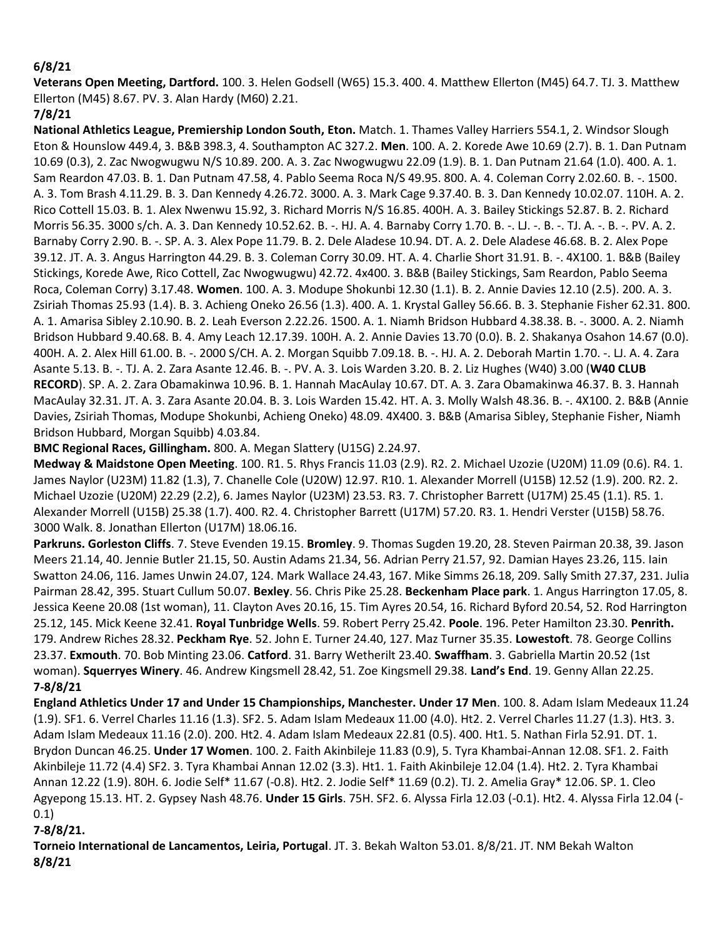#### **6/8/21**

**Veterans Open Meeting, Dartford.** 100. 3. Helen Godsell (W65) 15.3. 400. 4. Matthew Ellerton (M45) 64.7. TJ. 3. Matthew Ellerton (M45) 8.67. PV. 3. Alan Hardy (M60) 2.21.

## **7/8/21**

**National Athletics League, Premiership London South, Eton.** Match. 1. Thames Valley Harriers 554.1, 2. Windsor Slough Eton & Hounslow 449.4, 3. B&B 398.3, 4. Southampton AC 327.2. **Men**. 100. A. 2. Korede Awe 10.69 (2.7). B. 1. Dan Putnam 10.69 (0.3), 2. Zac Nwogwugwu N/S 10.89. 200. A. 3. Zac Nwogwugwu 22.09 (1.9). B. 1. Dan Putnam 21.64 (1.0). 400. A. 1. Sam Reardon 47.03. B. 1. Dan Putnam 47.58, 4. Pablo Seema Roca N/S 49.95. 800. A. 4. Coleman Corry 2.02.60. B. -. 1500. A. 3. Tom Brash 4.11.29. B. 3. Dan Kennedy 4.26.72. 3000. A. 3. Mark Cage 9.37.40. B. 3. Dan Kennedy 10.02.07. 110H. A. 2. Rico Cottell 15.03. B. 1. Alex Nwenwu 15.92, 3. Richard Morris N/S 16.85. 400H. A. 3. Bailey Stickings 52.87. B. 2. Richard Morris 56.35. 3000 s/ch. A. 3. Dan Kennedy 10.52.62. B. -. HJ. A. 4. Barnaby Corry 1.70. B. -. LJ. -. B. -. TJ. A. -. B. -. PV. A. 2. Barnaby Corry 2.90. B. -. SP. A. 3. Alex Pope 11.79. B. 2. Dele Aladese 10.94. DT. A. 2. Dele Aladese 46.68. B. 2. Alex Pope 39.12. JT. A. 3. Angus Harrington 44.29. B. 3. Coleman Corry 30.09. HT. A. 4. Charlie Short 31.91. B. -. 4X100. 1. B&B (Bailey Stickings, Korede Awe, Rico Cottell, Zac Nwogwugwu) 42.72. 4x400. 3. B&B (Bailey Stickings, Sam Reardon, Pablo Seema Roca, Coleman Corry) 3.17.48. **Women**. 100. A. 3. Modupe Shokunbi 12.30 (1.1). B. 2. Annie Davies 12.10 (2.5). 200. A. 3. Zsiriah Thomas 25.93 (1.4). B. 3. Achieng Oneko 26.56 (1.3). 400. A. 1. Krystal Galley 56.66. B. 3. Stephanie Fisher 62.31. 800. A. 1. Amarisa Sibley 2.10.90. B. 2. Leah Everson 2.22.26. 1500. A. 1. Niamh Bridson Hubbard 4.38.38. B. -. 3000. A. 2. Niamh Bridson Hubbard 9.40.68. B. 4. Amy Leach 12.17.39. 100H. A. 2. Annie Davies 13.70 (0.0). B. 2. Shakanya Osahon 14.67 (0.0). 400H. A. 2. Alex Hill 61.00. B. -. 2000 S/CH. A. 2. Morgan Squibb 7.09.18. B. -. HJ. A. 2. Deborah Martin 1.70. -. LJ. A. 4. Zara Asante 5.13. B. -. TJ. A. 2. Zara Asante 12.46. B. -. PV. A. 3. Lois Warden 3.20. B. 2. Liz Hughes (W40) 3.00 (**W40 CLUB RECORD**). SP. A. 2. Zara Obamakinwa 10.96. B. 1. Hannah MacAulay 10.67. DT. A. 3. Zara Obamakinwa 46.37. B. 3. Hannah MacAulay 32.31. JT. A. 3. Zara Asante 20.04. B. 3. Lois Warden 15.42. HT. A. 3. Molly Walsh 48.36. B. -. 4X100. 2. B&B (Annie Davies, Zsiriah Thomas, Modupe Shokunbi, Achieng Oneko) 48.09. 4X400. 3. B&B (Amarisa Sibley, Stephanie Fisher, Niamh Bridson Hubbard, Morgan Squibb) 4.03.84.

**BMC Regional Races, Gillingham.** 800. A. Megan Slattery (U15G) 2.24.97.

**Medway & Maidstone Open Meeting**. 100. R1. 5. Rhys Francis 11.03 (2.9). R2. 2. Michael Uzozie (U20M) 11.09 (0.6). R4. 1. James Naylor (U23M) 11.82 (1.3), 7. Chanelle Cole (U20W) 12.97. R10. 1. Alexander Morrell (U15B) 12.52 (1.9). 200. R2. 2. Michael Uzozie (U20M) 22.29 (2.2), 6. James Naylor (U23M) 23.53. R3. 7. Christopher Barrett (U17M) 25.45 (1.1). R5. 1. Alexander Morrell (U15B) 25.38 (1.7). 400. R2. 4. Christopher Barrett (U17M) 57.20. R3. 1. Hendri Verster (U15B) 58.76. 3000 Walk. 8. Jonathan Ellerton (U17M) 18.06.16.

**Parkruns. Gorleston Cliffs**. 7. Steve Evenden 19.15. **Bromley**. 9. Thomas Sugden 19.20, 28. Steven Pairman 20.38, 39. Jason Meers 21.14, 40. Jennie Butler 21.15, 50. Austin Adams 21.34, 56. Adrian Perry 21.57, 92. Damian Hayes 23.26, 115. Iain Swatton 24.06, 116. James Unwin 24.07, 124. Mark Wallace 24.43, 167. Mike Simms 26.18, 209. Sally Smith 27.37, 231. Julia Pairman 28.42, 395. Stuart Cullum 50.07. **Bexley**. 56. Chris Pike 25.28. **Beckenham Place park**. 1. Angus Harrington 17.05, 8. Jessica Keene 20.08 (1st woman), 11. Clayton Aves 20.16, 15. Tim Ayres 20.54, 16. Richard Byford 20.54, 52. Rod Harrington 25.12, 145. Mick Keene 32.41. **Royal Tunbridge Wells**. 59. Robert Perry 25.42. **Poole**. 196. Peter Hamilton 23.30. **Penrith.** 179. Andrew Riches 28.32. **Peckham Rye**. 52. John E. Turner 24.40, 127. Maz Turner 35.35. **Lowestoft**. 78. George Collins 23.37. **Exmouth**. 70. Bob Minting 23.06. **Catford**. 31. Barry Wetherilt 23.40. **Swaffham**. 3. Gabriella Martin 20.52 (1st woman). **Squerryes Winery**. 46. Andrew Kingsmell 28.42, 51. Zoe Kingsmell 29.38. **Land's End**. 19. Genny Allan 22.25. **7-8/8/21**

**England Athletics Under 17 and Under 15 Championships, Manchester. Under 17 Men**. 100. 8. Adam Islam Medeaux 11.24 (1.9). SF1. 6. Verrel Charles 11.16 (1.3). SF2. 5. Adam Islam Medeaux 11.00 (4.0). Ht2. 2. Verrel Charles 11.27 (1.3). Ht3. 3. Adam Islam Medeaux 11.16 (2.0). 200. Ht2. 4. Adam Islam Medeaux 22.81 (0.5). 400. Ht1. 5. Nathan Firla 52.91. DT. 1. Brydon Duncan 46.25. **Under 17 Women**. 100. 2. Faith Akinbileje 11.83 (0.9), 5. Tyra Khambai-Annan 12.08. SF1. 2. Faith Akinbileje 11.72 (4.4) SF2. 3. Tyra Khambai Annan 12.02 (3.3). Ht1. 1. Faith Akinbileje 12.04 (1.4). Ht2. 2. Tyra Khambai Annan 12.22 (1.9). 80H. 6. Jodie Self\* 11.67 (-0.8). Ht2. 2. Jodie Self\* 11.69 (0.2). TJ. 2. Amelia Gray\* 12.06. SP. 1. Cleo Agyepong 15.13. HT. 2. Gypsey Nash 48.76. **Under 15 Girls**. 75H. SF2. 6. Alyssa Firla 12.03 (-0.1). Ht2. 4. Alyssa Firla 12.04 (- 0.1)

# **7-8/8/21.**

**Torneio International de Lancamentos, Leiria, Portugal**. JT. 3. Bekah Walton 53.01. 8/8/21. JT. NM Bekah Walton **8/8/21**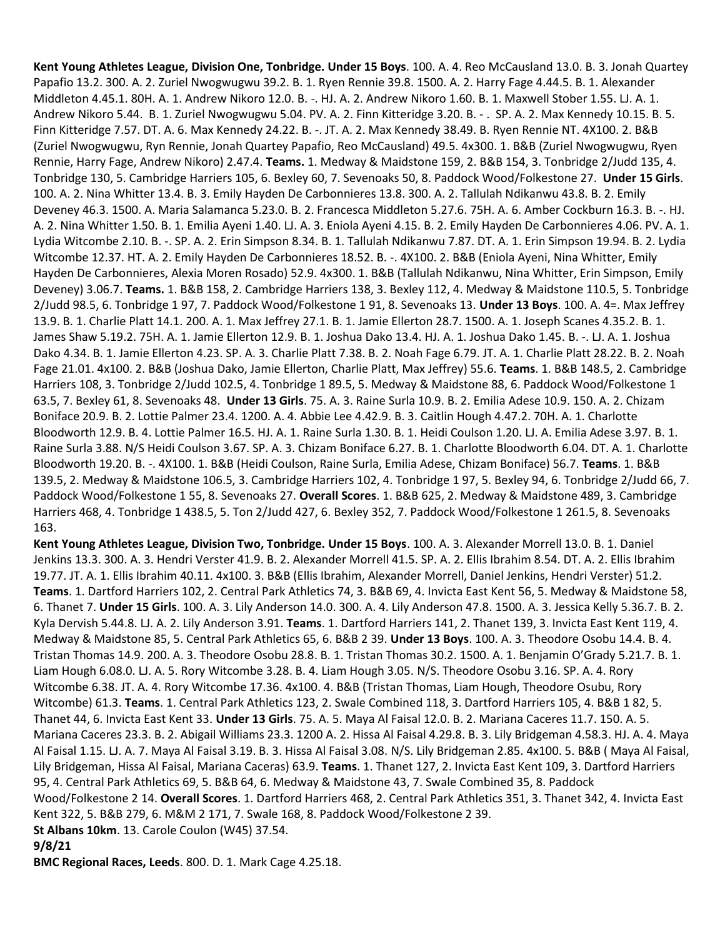**Kent Young Athletes League, Division One, Tonbridge. Under 15 Boys**. 100. A. 4. Reo McCausland 13.0. B. 3. Jonah Quartey Papafio 13.2. 300. A. 2. Zuriel Nwogwugwu 39.2. B. 1. Ryen Rennie 39.8. 1500. A. 2. Harry Fage 4.44.5. B. 1. Alexander Middleton 4.45.1. 80H. A. 1. Andrew Nikoro 12.0. B. -. HJ. A. 2. Andrew Nikoro 1.60. B. 1. Maxwell Stober 1.55. LJ. A. 1. Andrew Nikoro 5.44. B. 1. Zuriel Nwogwugwu 5.04. PV. A. 2. Finn Kitteridge 3.20. B. - . SP. A. 2. Max Kennedy 10.15. B. 5. Finn Kitteridge 7.57. DT. A. 6. Max Kennedy 24.22. B. -. JT. A. 2. Max Kennedy 38.49. B. Ryen Rennie NT. 4X100. 2. B&B (Zuriel Nwogwugwu, Ryn Rennie, Jonah Quartey Papafio, Reo McCausland) 49.5. 4x300. 1. B&B (Zuriel Nwogwugwu, Ryen Rennie, Harry Fage, Andrew Nikoro) 2.47.4. **Teams.** 1. Medway & Maidstone 159, 2. B&B 154, 3. Tonbridge 2/Judd 135, 4. Tonbridge 130, 5. Cambridge Harriers 105, 6. Bexley 60, 7. Sevenoaks 50, 8. Paddock Wood/Folkestone 27. **Under 15 Girls**. 100. A. 2. Nina Whitter 13.4. B. 3. Emily Hayden De Carbonnieres 13.8. 300. A. 2. Tallulah Ndikanwu 43.8. B. 2. Emily Deveney 46.3. 1500. A. Maria Salamanca 5.23.0. B. 2. Francesca Middleton 5.27.6. 75H. A. 6. Amber Cockburn 16.3. B. -. HJ. A. 2. Nina Whitter 1.50. B. 1. Emilia Ayeni 1.40. LJ. A. 3. Eniola Ayeni 4.15. B. 2. Emily Hayden De Carbonnieres 4.06. PV. A. 1. Lydia Witcombe 2.10. B. -. SP. A. 2. Erin Simpson 8.34. B. 1. Tallulah Ndikanwu 7.87. DT. A. 1. Erin Simpson 19.94. B. 2. Lydia Witcombe 12.37. HT. A. 2. Emily Hayden De Carbonnieres 18.52. B. -. 4X100. 2. B&B (Eniola Ayeni, Nina Whitter, Emily Hayden De Carbonnieres, Alexia Moren Rosado) 52.9. 4x300. 1. B&B (Tallulah Ndikanwu, Nina Whitter, Erin Simpson, Emily Deveney) 3.06.7. **Teams.** 1. B&B 158, 2. Cambridge Harriers 138, 3. Bexley 112, 4. Medway & Maidstone 110.5, 5. Tonbridge 2/Judd 98.5, 6. Tonbridge 1 97, 7. Paddock Wood/Folkestone 1 91, 8. Sevenoaks 13. **Under 13 Boys**. 100. A. 4=. Max Jeffrey 13.9. B. 1. Charlie Platt 14.1. 200. A. 1. Max Jeffrey 27.1. B. 1. Jamie Ellerton 28.7. 1500. A. 1. Joseph Scanes 4.35.2. B. 1. James Shaw 5.19.2. 75H. A. 1. Jamie Ellerton 12.9. B. 1. Joshua Dako 13.4. HJ. A. 1. Joshua Dako 1.45. B. -. LJ. A. 1. Joshua Dako 4.34. B. 1. Jamie Ellerton 4.23. SP. A. 3. Charlie Platt 7.38. B. 2. Noah Fage 6.79. JT. A. 1. Charlie Platt 28.22. B. 2. Noah Fage 21.01. 4x100. 2. B&B (Joshua Dako, Jamie Ellerton, Charlie Platt, Max Jeffrey) 55.6. **Teams**. 1. B&B 148.5, 2. Cambridge Harriers 108, 3. Tonbridge 2/Judd 102.5, 4. Tonbridge 1 89.5, 5. Medway & Maidstone 88, 6. Paddock Wood/Folkestone 1 63.5, 7. Bexley 61, 8. Sevenoaks 48. **Under 13 Girls**. 75. A. 3. Raine Surla 10.9. B. 2. Emilia Adese 10.9. 150. A. 2. Chizam Boniface 20.9. B. 2. Lottie Palmer 23.4. 1200. A. 4. Abbie Lee 4.42.9. B. 3. Caitlin Hough 4.47.2. 70H. A. 1. Charlotte Bloodworth 12.9. B. 4. Lottie Palmer 16.5. HJ. A. 1. Raine Surla 1.30. B. 1. Heidi Coulson 1.20. LJ. A. Emilia Adese 3.97. B. 1. Raine Surla 3.88. N/S Heidi Coulson 3.67. SP. A. 3. Chizam Boniface 6.27. B. 1. Charlotte Bloodworth 6.04. DT. A. 1. Charlotte Bloodworth 19.20. B. -. 4X100. 1. B&B (Heidi Coulson, Raine Surla, Emilia Adese, Chizam Boniface) 56.7. **Teams**. 1. B&B 139.5, 2. Medway & Maidstone 106.5, 3. Cambridge Harriers 102, 4. Tonbridge 1 97, 5. Bexley 94, 6. Tonbridge 2/Judd 66, 7. Paddock Wood/Folkestone 1 55, 8. Sevenoaks 27. **Overall Scores**. 1. B&B 625, 2. Medway & Maidstone 489, 3. Cambridge Harriers 468, 4. Tonbridge 1 438.5, 5. Ton 2/Judd 427, 6. Bexley 352, 7. Paddock Wood/Folkestone 1 261.5, 8. Sevenoaks 163.

**Kent Young Athletes League, Division Two, Tonbridge. Under 15 Boys**. 100. A. 3. Alexander Morrell 13.0. B. 1. Daniel Jenkins 13.3. 300. A. 3. Hendri Verster 41.9. B. 2. Alexander Morrell 41.5. SP. A. 2. Ellis Ibrahim 8.54. DT. A. 2. Ellis Ibrahim 19.77. JT. A. 1. Ellis Ibrahim 40.11. 4x100. 3. B&B (Ellis Ibrahim, Alexander Morrell, Daniel Jenkins, Hendri Verster) 51.2. **Teams**. 1. Dartford Harriers 102, 2. Central Park Athletics 74, 3. B&B 69, 4. Invicta East Kent 56, 5. Medway & Maidstone 58, 6. Thanet 7. **Under 15 Girls**. 100. A. 3. Lily Anderson 14.0. 300. A. 4. Lily Anderson 47.8. 1500. A. 3. Jessica Kelly 5.36.7. B. 2. Kyla Dervish 5.44.8. LJ. A. 2. Lily Anderson 3.91. **Teams**. 1. Dartford Harriers 141, 2. Thanet 139, 3. Invicta East Kent 119, 4. Medway & Maidstone 85, 5. Central Park Athletics 65, 6. B&B 2 39. **Under 13 Boys**. 100. A. 3. Theodore Osobu 14.4. B. 4. Tristan Thomas 14.9. 200. A. 3. Theodore Osobu 28.8. B. 1. Tristan Thomas 30.2. 1500. A. 1. Benjamin O'Grady 5.21.7. B. 1. Liam Hough 6.08.0. LJ. A. 5. Rory Witcombe 3.28. B. 4. Liam Hough 3.05. N/S. Theodore Osobu 3.16. SP. A. 4. Rory Witcombe 6.38. JT. A. 4. Rory Witcombe 17.36. 4x100. 4. B&B (Tristan Thomas, Liam Hough, Theodore Osubu, Rory Witcombe) 61.3. **Teams**. 1. Central Park Athletics 123, 2. Swale Combined 118, 3. Dartford Harriers 105, 4. B&B 1 82, 5. Thanet 44, 6. Invicta East Kent 33. **Under 13 Girls**. 75. A. 5. Maya Al Faisal 12.0. B. 2. Mariana Caceres 11.7. 150. A. 5. Mariana Caceres 23.3. B. 2. Abigail Williams 23.3. 1200 A. 2. Hissa Al Faisal 4.29.8. B. 3. Lily Bridgeman 4.58.3. HJ. A. 4. Maya Al Faisal 1.15. LJ. A. 7. Maya Al Faisal 3.19. B. 3. Hissa Al Faisal 3.08. N/S. Lily Bridgeman 2.85. 4x100. 5. B&B ( Maya Al Faisal, Lily Bridgeman, Hissa Al Faisal, Mariana Caceras) 63.9. **Teams**. 1. Thanet 127, 2. Invicta East Kent 109, 3. Dartford Harriers 95, 4. Central Park Athletics 69, 5. B&B 64, 6. Medway & Maidstone 43, 7. Swale Combined 35, 8. Paddock Wood/Folkestone 2 14. **Overall Scores**. 1. Dartford Harriers 468, 2. Central Park Athletics 351, 3. Thanet 342, 4. Invicta East Kent 322, 5. B&B 279, 6. M&M 2 171, 7. Swale 168, 8. Paddock Wood/Folkestone 2 39. **St Albans 10km**. 13. Carole Coulon (W45) 37.54. **9/8/21**

**BMC Regional Races, Leeds**. 800. D. 1. Mark Cage 4.25.18.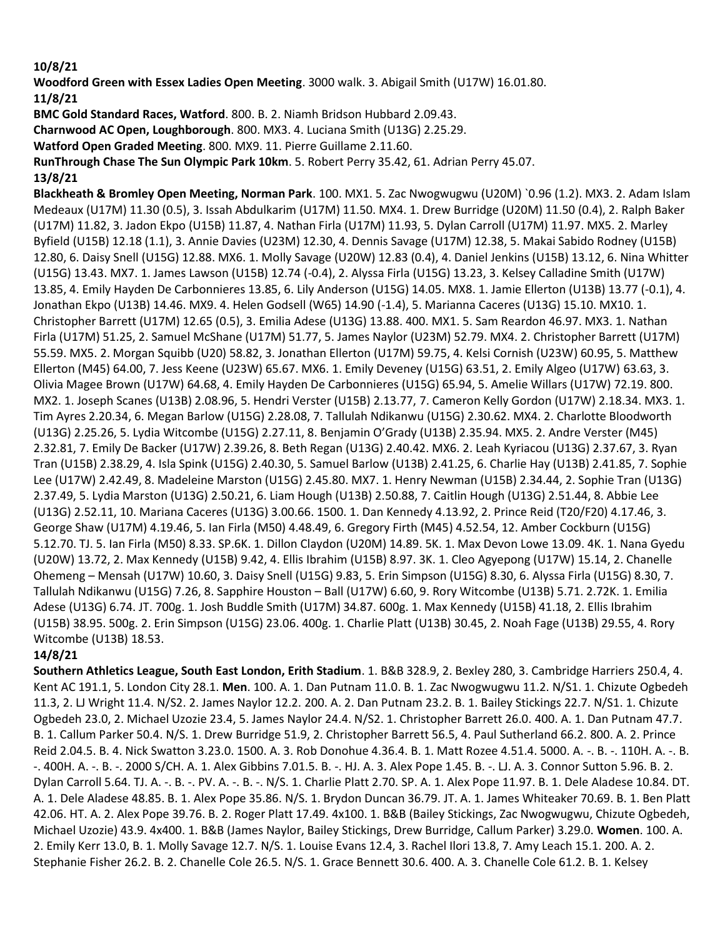#### **10/8/21**

**Woodford Green with Essex Ladies Open Meeting**. 3000 walk. 3. Abigail Smith (U17W) 16.01.80. **11/8/21**

**BMC Gold Standard Races, Watford**. 800. B. 2. Niamh Bridson Hubbard 2.09.43.

**Charnwood AC Open, Loughborough**. 800. MX3. 4. Luciana Smith (U13G) 2.25.29.

**Watford Open Graded Meeting**. 800. MX9. 11. Pierre Guillame 2.11.60.

**RunThrough Chase The Sun Olympic Park 10km**. 5. Robert Perry 35.42, 61. Adrian Perry 45.07. **13/8/21**

**Blackheath & Bromley Open Meeting, Norman Park**. 100. MX1. 5. Zac Nwogwugwu (U20M) `0.96 (1.2). MX3. 2. Adam Islam Medeaux (U17M) 11.30 (0.5), 3. Issah Abdulkarim (U17M) 11.50. MX4. 1. Drew Burridge (U20M) 11.50 (0.4), 2. Ralph Baker (U17M) 11.82, 3. Jadon Ekpo (U15B) 11.87, 4. Nathan Firla (U17M) 11.93, 5. Dylan Carroll (U17M) 11.97. MX5. 2. Marley Byfield (U15B) 12.18 (1.1), 3. Annie Davies (U23M) 12.30, 4. Dennis Savage (U17M) 12.38, 5. Makai Sabido Rodney (U15B) 12.80, 6. Daisy Snell (U15G) 12.88. MX6. 1. Molly Savage (U20W) 12.83 (0.4), 4. Daniel Jenkins (U15B) 13.12, 6. Nina Whitter (U15G) 13.43. MX7. 1. James Lawson (U15B) 12.74 (-0.4), 2. Alyssa Firla (U15G) 13.23, 3. Kelsey Calladine Smith (U17W) 13.85, 4. Emily Hayden De Carbonnieres 13.85, 6. Lily Anderson (U15G) 14.05. MX8. 1. Jamie Ellerton (U13B) 13.77 (-0.1), 4. Jonathan Ekpo (U13B) 14.46. MX9. 4. Helen Godsell (W65) 14.90 (-1.4), 5. Marianna Caceres (U13G) 15.10. MX10. 1. Christopher Barrett (U17M) 12.65 (0.5), 3. Emilia Adese (U13G) 13.88. 400. MX1. 5. Sam Reardon 46.97. MX3. 1. Nathan Firla (U17M) 51.25, 2. Samuel McShane (U17M) 51.77, 5. James Naylor (U23M) 52.79. MX4. 2. Christopher Barrett (U17M) 55.59. MX5. 2. Morgan Squibb (U20) 58.82, 3. Jonathan Ellerton (U17M) 59.75, 4. Kelsi Cornish (U23W) 60.95, 5. Matthew Ellerton (M45) 64.00, 7. Jess Keene (U23W) 65.67. MX6. 1. Emily Deveney (U15G) 63.51, 2. Emily Algeo (U17W) 63.63, 3. Olivia Magee Brown (U17W) 64.68, 4. Emily Hayden De Carbonnieres (U15G) 65.94, 5. Amelie Willars (U17W) 72.19. 800. MX2. 1. Joseph Scanes (U13B) 2.08.96, 5. Hendri Verster (U15B) 2.13.77, 7. Cameron Kelly Gordon (U17W) 2.18.34. MX3. 1. Tim Ayres 2.20.34, 6. Megan Barlow (U15G) 2.28.08, 7. Tallulah Ndikanwu (U15G) 2.30.62. MX4. 2. Charlotte Bloodworth (U13G) 2.25.26, 5. Lydia Witcombe (U15G) 2.27.11, 8. Benjamin O'Grady (U13B) 2.35.94. MX5. 2. Andre Verster (M45) 2.32.81, 7. Emily De Backer (U17W) 2.39.26, 8. Beth Regan (U13G) 2.40.42. MX6. 2. Leah Kyriacou (U13G) 2.37.67, 3. Ryan Tran (U15B) 2.38.29, 4. Isla Spink (U15G) 2.40.30, 5. Samuel Barlow (U13B) 2.41.25, 6. Charlie Hay (U13B) 2.41.85, 7. Sophie Lee (U17W) 2.42.49, 8. Madeleine Marston (U15G) 2.45.80. MX7. 1. Henry Newman (U15B) 2.34.44, 2. Sophie Tran (U13G) 2.37.49, 5. Lydia Marston (U13G) 2.50.21, 6. Liam Hough (U13B) 2.50.88, 7. Caitlin Hough (U13G) 2.51.44, 8. Abbie Lee (U13G) 2.52.11, 10. Mariana Caceres (U13G) 3.00.66. 1500. 1. Dan Kennedy 4.13.92, 2. Prince Reid (T20/F20) 4.17.46, 3. George Shaw (U17M) 4.19.46, 5. Ian Firla (M50) 4.48.49, 6. Gregory Firth (M45) 4.52.54, 12. Amber Cockburn (U15G) 5.12.70. TJ. 5. Ian Firla (M50) 8.33. SP.6K. 1. Dillon Claydon (U20M) 14.89. 5K. 1. Max Devon Lowe 13.09. 4K. 1. Nana Gyedu (U20W) 13.72, 2. Max Kennedy (U15B) 9.42, 4. Ellis Ibrahim (U15B) 8.97. 3K. 1. Cleo Agyepong (U17W) 15.14, 2. Chanelle Ohemeng – Mensah (U17W) 10.60, 3. Daisy Snell (U15G) 9.83, 5. Erin Simpson (U15G) 8.30, 6. Alyssa Firla (U15G) 8.30, 7. Tallulah Ndikanwu (U15G) 7.26, 8. Sapphire Houston – Ball (U17W) 6.60, 9. Rory Witcombe (U13B) 5.71. 2.72K. 1. Emilia Adese (U13G) 6.74. JT. 700g. 1. Josh Buddle Smith (U17M) 34.87. 600g. 1. Max Kennedy (U15B) 41.18, 2. Ellis Ibrahim (U15B) 38.95. 500g. 2. Erin Simpson (U15G) 23.06. 400g. 1. Charlie Platt (U13B) 30.45, 2. Noah Fage (U13B) 29.55, 4. Rory Witcombe (U13B) 18.53.

#### **14/8/21**

**Southern Athletics League, South East London, Erith Stadium**. 1. B&B 328.9, 2. Bexley 280, 3. Cambridge Harriers 250.4, 4. Kent AC 191.1, 5. London City 28.1. **Men**. 100. A. 1. Dan Putnam 11.0. B. 1. Zac Nwogwugwu 11.2. N/S1. 1. Chizute Ogbedeh 11.3, 2. LJ Wright 11.4. N/S2. 2. James Naylor 12.2. 200. A. 2. Dan Putnam 23.2. B. 1. Bailey Stickings 22.7. N/S1. 1. Chizute Ogbedeh 23.0, 2. Michael Uzozie 23.4, 5. James Naylor 24.4. N/S2. 1. Christopher Barrett 26.0. 400. A. 1. Dan Putnam 47.7. B. 1. Callum Parker 50.4. N/S. 1. Drew Burridge 51.9, 2. Christopher Barrett 56.5, 4. Paul Sutherland 66.2. 800. A. 2. Prince Reid 2.04.5. B. 4. Nick Swatton 3.23.0. 1500. A. 3. Rob Donohue 4.36.4. B. 1. Matt Rozee 4.51.4. 5000. A. -. B. -. 110H. A. -. B. -. 400H. A. -. B. -. 2000 S/CH. A. 1. Alex Gibbins 7.01.5. B. -. HJ. A. 3. Alex Pope 1.45. B. -. LJ. A. 3. Connor Sutton 5.96. B. 2. Dylan Carroll 5.64. TJ. A. -. B. -. PV. A. -. B. -. N/S. 1. Charlie Platt 2.70. SP. A. 1. Alex Pope 11.97. B. 1. Dele Aladese 10.84. DT. A. 1. Dele Aladese 48.85. B. 1. Alex Pope 35.86. N/S. 1. Brydon Duncan 36.79. JT. A. 1. James Whiteaker 70.69. B. 1. Ben Platt 42.06. HT. A. 2. Alex Pope 39.76. B. 2. Roger Platt 17.49. 4x100. 1. B&B (Bailey Stickings, Zac Nwogwugwu, Chizute Ogbedeh, Michael Uzozie) 43.9. 4x400. 1. B&B (James Naylor, Bailey Stickings, Drew Burridge, Callum Parker) 3.29.0. **Women**. 100. A. 2. Emily Kerr 13.0, B. 1. Molly Savage 12.7. N/S. 1. Louise Evans 12.4, 3. Rachel Ilori 13.8, 7. Amy Leach 15.1. 200. A. 2. Stephanie Fisher 26.2. B. 2. Chanelle Cole 26.5. N/S. 1. Grace Bennett 30.6. 400. A. 3. Chanelle Cole 61.2. B. 1. Kelsey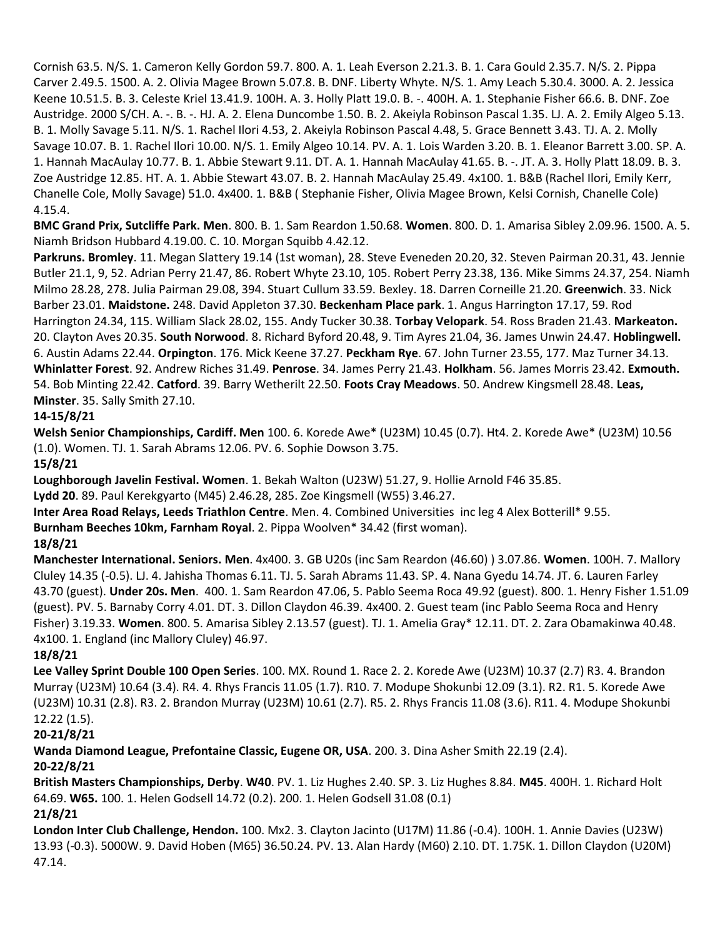Cornish 63.5. N/S. 1. Cameron Kelly Gordon 59.7. 800. A. 1. Leah Everson 2.21.3. B. 1. Cara Gould 2.35.7. N/S. 2. Pippa Carver 2.49.5. 1500. A. 2. Olivia Magee Brown 5.07.8. B. DNF. Liberty Whyte. N/S. 1. Amy Leach 5.30.4. 3000. A. 2. Jessica Keene 10.51.5. B. 3. Celeste Kriel 13.41.9. 100H. A. 3. Holly Platt 19.0. B. -. 400H. A. 1. Stephanie Fisher 66.6. B. DNF. Zoe Austridge. 2000 S/CH. A. -. B. -. HJ. A. 2. Elena Duncombe 1.50. B. 2. Akeiyla Robinson Pascal 1.35. LJ. A. 2. Emily Algeo 5.13. B. 1. Molly Savage 5.11. N/S. 1. Rachel Ilori 4.53, 2. Akeiyla Robinson Pascal 4.48, 5. Grace Bennett 3.43. TJ. A. 2. Molly Savage 10.07. B. 1. Rachel Ilori 10.00. N/S. 1. Emily Algeo 10.14. PV. A. 1. Lois Warden 3.20. B. 1. Eleanor Barrett 3.00. SP. A. 1. Hannah MacAulay 10.77. B. 1. Abbie Stewart 9.11. DT. A. 1. Hannah MacAulay 41.65. B. -. JT. A. 3. Holly Platt 18.09. B. 3. Zoe Austridge 12.85. HT. A. 1. Abbie Stewart 43.07. B. 2. Hannah MacAulay 25.49. 4x100. 1. B&B (Rachel Ilori, Emily Kerr, Chanelle Cole, Molly Savage) 51.0. 4x400. 1. B&B ( Stephanie Fisher, Olivia Magee Brown, Kelsi Cornish, Chanelle Cole) 4.15.4.

**BMC Grand Prix, Sutcliffe Park. Men**. 800. B. 1. Sam Reardon 1.50.68. **Women**. 800. D. 1. Amarisa Sibley 2.09.96. 1500. A. 5. Niamh Bridson Hubbard 4.19.00. C. 10. Morgan Squibb 4.42.12.

**Parkruns. Bromley**. 11. Megan Slattery 19.14 (1st woman), 28. Steve Eveneden 20.20, 32. Steven Pairman 20.31, 43. Jennie Butler 21.1, 9, 52. Adrian Perry 21.47, 86. Robert Whyte 23.10, 105. Robert Perry 23.38, 136. Mike Simms 24.37, 254. Niamh Milmo 28.28, 278. Julia Pairman 29.08, 394. Stuart Cullum 33.59. Bexley. 18. Darren Corneille 21.20. **Greenwich**. 33. Nick Barber 23.01. **Maidstone.** 248. David Appleton 37.30. **Beckenham Place park**. 1. Angus Harrington 17.17, 59. Rod Harrington 24.34, 115. William Slack 28.02, 155. Andy Tucker 30.38. **Torbay Velopark**. 54. Ross Braden 21.43. **Markeaton.** 20. Clayton Aves 20.35. **South Norwood**. 8. Richard Byford 20.48, 9. Tim Ayres 21.04, 36. James Unwin 24.47. **Hoblingwell.** 6. Austin Adams 22.44. **Orpington**. 176. Mick Keene 37.27. **Peckham Rye**. 67. John Turner 23.55, 177. Maz Turner 34.13. **Whinlatter Forest**. 92. Andrew Riches 31.49. **Penrose**. 34. James Perry 21.43. **Holkham**. 56. James Morris 23.42. **Exmouth.** 54. Bob Minting 22.42. **Catford**. 39. Barry Wetherilt 22.50. **Foots Cray Meadows**. 50. Andrew Kingsmell 28.48. **Leas, Minster**. 35. Sally Smith 27.10.

## **14-15/8/21**

**Welsh Senior Championships, Cardiff. Men** 100. 6. Korede Awe\* (U23M) 10.45 (0.7). Ht4. 2. Korede Awe\* (U23M) 10.56 (1.0). Women. TJ. 1. Sarah Abrams 12.06. PV. 6. Sophie Dowson 3.75.

#### **15/8/21**

**Loughborough Javelin Festival. Women**. 1. Bekah Walton (U23W) 51.27, 9. Hollie Arnold F46 35.85.

**Lydd 20**. 89. Paul Kerekgyarto (M45) 2.46.28, 285. Zoe Kingsmell (W55) 3.46.27.

**Inter Area Road Relays, Leeds Triathlon Centre**. Men. 4. Combined Universities inc leg 4 Alex Botterill\* 9.55.

**Burnham Beeches 10km, Farnham Royal**. 2. Pippa Woolven\* 34.42 (first woman).

#### **18/8/21**

**Manchester International. Seniors. Men**. 4x400. 3. GB U20s (inc Sam Reardon (46.60) ) 3.07.86. **Women**. 100H. 7. Mallory Cluley 14.35 (-0.5). LJ. 4. Jahisha Thomas 6.11. TJ. 5. Sarah Abrams 11.43. SP. 4. Nana Gyedu 14.74. JT. 6. Lauren Farley 43.70 (guest). **Under 20s. Men**. 400. 1. Sam Reardon 47.06, 5. Pablo Seema Roca 49.92 (guest). 800. 1. Henry Fisher 1.51.09 (guest). PV. 5. Barnaby Corry 4.01. DT. 3. Dillon Claydon 46.39. 4x400. 2. Guest team (inc Pablo Seema Roca and Henry Fisher) 3.19.33. **Women**. 800. 5. Amarisa Sibley 2.13.57 (guest). TJ. 1. Amelia Gray\* 12.11. DT. 2. Zara Obamakinwa 40.48. 4x100. 1. England (inc Mallory Cluley) 46.97.

# **18/8/21**

**Lee Valley Sprint Double 100 Open Series**. 100. MX. Round 1. Race 2. 2. Korede Awe (U23M) 10.37 (2.7) R3. 4. Brandon Murray (U23M) 10.64 (3.4). R4. 4. Rhys Francis 11.05 (1.7). R10. 7. Modupe Shokunbi 12.09 (3.1). R2. R1. 5. Korede Awe (U23M) 10.31 (2.8). R3. 2. Brandon Murray (U23M) 10.61 (2.7). R5. 2. Rhys Francis 11.08 (3.6). R11. 4. Modupe Shokunbi 12.22 (1.5).

# **20-21/8/21**

**Wanda Diamond League, Prefontaine Classic, Eugene OR, USA**. 200. 3. Dina Asher Smith 22.19 (2.4). **20-22/8/21**

**British Masters Championships, Derby**. **W40**. PV. 1. Liz Hughes 2.40. SP. 3. Liz Hughes 8.84. **M45**. 400H. 1. Richard Holt 64.69. **W65.** 100. 1. Helen Godsell 14.72 (0.2). 200. 1. Helen Godsell 31.08 (0.1)

# **21/8/21**

**London Inter Club Challenge, Hendon.** 100. Mx2. 3. Clayton Jacinto (U17M) 11.86 (-0.4). 100H. 1. Annie Davies (U23W) 13.93 (-0.3). 5000W. 9. David Hoben (M65) 36.50.24. PV. 13. Alan Hardy (M60) 2.10. DT. 1.75K. 1. Dillon Claydon (U20M) 47.14.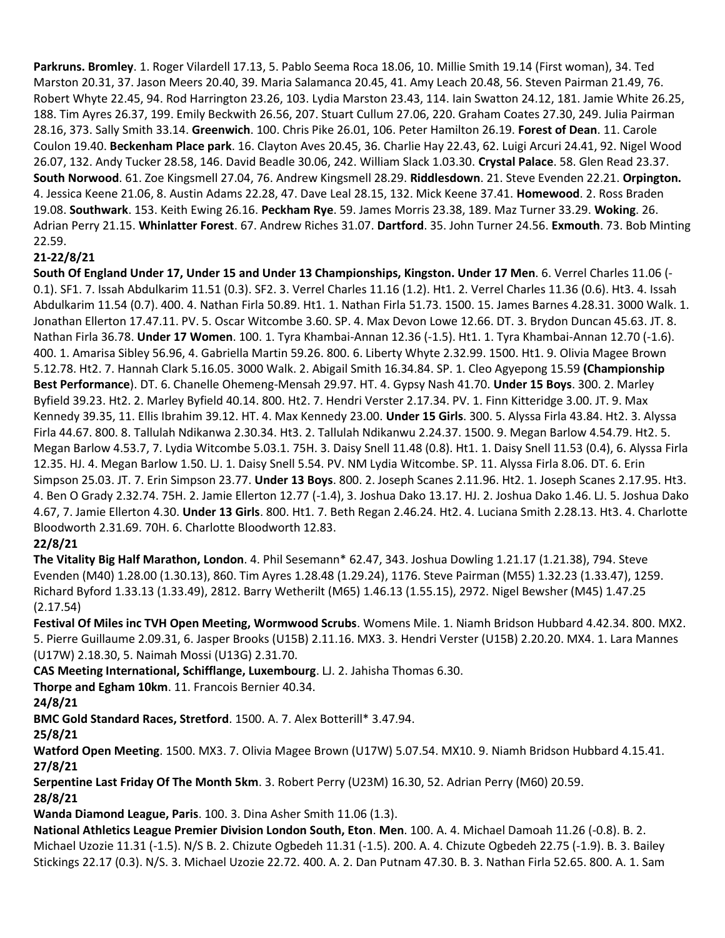**Parkruns. Bromley**. 1. Roger Vilardell 17.13, 5. Pablo Seema Roca 18.06, 10. Millie Smith 19.14 (First woman), 34. Ted Marston 20.31, 37. Jason Meers 20.40, 39. Maria Salamanca 20.45, 41. Amy Leach 20.48, 56. Steven Pairman 21.49, 76. Robert Whyte 22.45, 94. Rod Harrington 23.26, 103. Lydia Marston 23.43, 114. Iain Swatton 24.12, 181. Jamie White 26.25, 188. Tim Ayres 26.37, 199. Emily Beckwith 26.56, 207. Stuart Cullum 27.06, 220. Graham Coates 27.30, 249. Julia Pairman 28.16, 373. Sally Smith 33.14. **Greenwich**. 100. Chris Pike 26.01, 106. Peter Hamilton 26.19. **Forest of Dean**. 11. Carole Coulon 19.40. **Beckenham Place park**. 16. Clayton Aves 20.45, 36. Charlie Hay 22.43, 62. Luigi Arcuri 24.41, 92. Nigel Wood 26.07, 132. Andy Tucker 28.58, 146. David Beadle 30.06, 242. William Slack 1.03.30. **Crystal Palace**. 58. Glen Read 23.37. **South Norwood**. 61. Zoe Kingsmell 27.04, 76. Andrew Kingsmell 28.29. **Riddlesdown**. 21. Steve Evenden 22.21. **Orpington.** 4. Jessica Keene 21.06, 8. Austin Adams 22.28, 47. Dave Leal 28.15, 132. Mick Keene 37.41. **Homewood**. 2. Ross Braden 19.08. **Southwark**. 153. Keith Ewing 26.16. **Peckham Rye**. 59. James Morris 23.38, 189. Maz Turner 33.29. **Woking**. 26. Adrian Perry 21.15. **Whinlatter Forest**. 67. Andrew Riches 31.07. **Dartford**. 35. John Turner 24.56. **Exmouth**. 73. Bob Minting 22.59.

## **21-22/8/21**

**South Of England Under 17, Under 15 and Under 13 Championships, Kingston. Under 17 Men**. 6. Verrel Charles 11.06 (- 0.1). SF1. 7. Issah Abdulkarim 11.51 (0.3). SF2. 3. Verrel Charles 11.16 (1.2). Ht1. 2. Verrel Charles 11.36 (0.6). Ht3. 4. Issah Abdulkarim 11.54 (0.7). 400. 4. Nathan Firla 50.89. Ht1. 1. Nathan Firla 51.73. 1500. 15. James Barnes 4.28.31. 3000 Walk. 1. Jonathan Ellerton 17.47.11. PV. 5. Oscar Witcombe 3.60. SP. 4. Max Devon Lowe 12.66. DT. 3. Brydon Duncan 45.63. JT. 8. Nathan Firla 36.78. **Under 17 Women**. 100. 1. Tyra Khambai-Annan 12.36 (-1.5). Ht1. 1. Tyra Khambai-Annan 12.70 (-1.6). 400. 1. Amarisa Sibley 56.96, 4. Gabriella Martin 59.26. 800. 6. Liberty Whyte 2.32.99. 1500. Ht1. 9. Olivia Magee Brown 5.12.78. Ht2. 7. Hannah Clark 5.16.05. 3000 Walk. 2. Abigail Smith 16.34.84. SP. 1. Cleo Agyepong 15.59 **(Championship Best Performance**). DT. 6. Chanelle Ohemeng-Mensah 29.97. HT. 4. Gypsy Nash 41.70. **Under 15 Boys**. 300. 2. Marley Byfield 39.23. Ht2. 2. Marley Byfield 40.14. 800. Ht2. 7. Hendri Verster 2.17.34. PV. 1. Finn Kitteridge 3.00. JT. 9. Max Kennedy 39.35, 11. Ellis Ibrahim 39.12. HT. 4. Max Kennedy 23.00. **Under 15 Girls**. 300. 5. Alyssa Firla 43.84. Ht2. 3. Alyssa Firla 44.67. 800. 8. Tallulah Ndikanwa 2.30.34. Ht3. 2. Tallulah Ndikanwu 2.24.37. 1500. 9. Megan Barlow 4.54.79. Ht2. 5. Megan Barlow 4.53.7, 7. Lydia Witcombe 5.03.1. 75H. 3. Daisy Snell 11.48 (0.8). Ht1. 1. Daisy Snell 11.53 (0.4), 6. Alyssa Firla 12.35. HJ. 4. Megan Barlow 1.50. LJ. 1. Daisy Snell 5.54. PV. NM Lydia Witcombe. SP. 11. Alyssa Firla 8.06. DT. 6. Erin Simpson 25.03. JT. 7. Erin Simpson 23.77. **Under 13 Boys**. 800. 2. Joseph Scanes 2.11.96. Ht2. 1. Joseph Scanes 2.17.95. Ht3. 4. Ben O Grady 2.32.74. 75H. 2. Jamie Ellerton 12.77 (-1.4), 3. Joshua Dako 13.17. HJ. 2. Joshua Dako 1.46. LJ. 5. Joshua Dako 4.67, 7. Jamie Ellerton 4.30. **Under 13 Girls**. 800. Ht1. 7. Beth Regan 2.46.24. Ht2. 4. Luciana Smith 2.28.13. Ht3. 4. Charlotte Bloodworth 2.31.69. 70H. 6. Charlotte Bloodworth 12.83.

#### **22/8/21**

**The Vitality Big Half Marathon, London**. 4. Phil Sesemann\* 62.47, 343. Joshua Dowling 1.21.17 (1.21.38), 794. Steve Evenden (M40) 1.28.00 (1.30.13), 860. Tim Ayres 1.28.48 (1.29.24), 1176. Steve Pairman (M55) 1.32.23 (1.33.47), 1259. Richard Byford 1.33.13 (1.33.49), 2812. Barry Wetherilt (M65) 1.46.13 (1.55.15), 2972. Nigel Bewsher (M45) 1.47.25 (2.17.54)

**Festival Of Miles inc TVH Open Meeting, Wormwood Scrubs**. Womens Mile. 1. Niamh Bridson Hubbard 4.42.34. 800. MX2. 5. Pierre Guillaume 2.09.31, 6. Jasper Brooks (U15B) 2.11.16. MX3. 3. Hendri Verster (U15B) 2.20.20. MX4. 1. Lara Mannes (U17W) 2.18.30, 5. Naimah Mossi (U13G) 2.31.70.

**CAS Meeting International, Schifflange, Luxembourg**. LJ. 2. Jahisha Thomas 6.30.

**Thorpe and Egham 10km**. 11. Francois Bernier 40.34.

**24/8/21**

**BMC Gold Standard Races, Stretford**. 1500. A. 7. Alex Botterill\* 3.47.94.

**25/8/21**

**Watford Open Meeting**. 1500. MX3. 7. Olivia Magee Brown (U17W) 5.07.54. MX10. 9. Niamh Bridson Hubbard 4.15.41. **27/8/21**

**Serpentine Last Friday Of The Month 5km**. 3. Robert Perry (U23M) 16.30, 52. Adrian Perry (M60) 20.59. **28/8/21**

**Wanda Diamond League, Paris**. 100. 3. Dina Asher Smith 11.06 (1.3).

**National Athletics League Premier Division London South, Eton**. **Men**. 100. A. 4. Michael Damoah 11.26 (-0.8). B. 2. Michael Uzozie 11.31 (-1.5). N/S B. 2. Chizute Ogbedeh 11.31 (-1.5). 200. A. 4. Chizute Ogbedeh 22.75 (-1.9). B. 3. Bailey Stickings 22.17 (0.3). N/S. 3. Michael Uzozie 22.72. 400. A. 2. Dan Putnam 47.30. B. 3. Nathan Firla 52.65. 800. A. 1. Sam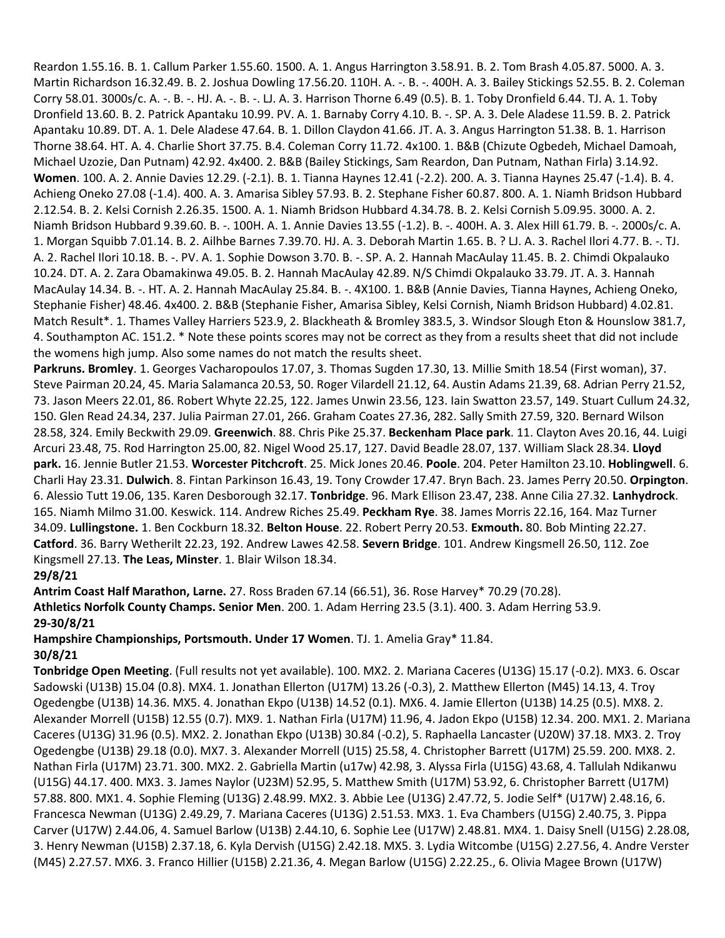Reardon 1.55.16. B. 1. Callum Parker 1.55.60. 1500. A. 1. Angus Harrington 3.58.91. B. 2. Tom Brash 4.05.87. 5000. A. 3. Martin Richardson 16.32.49. B. 2. Joshua Dowling 17.56.20. 110H. A. -. B. -. 400H. A. 3. Bailey Stickings 52.55. B. 2. Coleman Corry 58.01. 3000s/c. A. -. B. -. HJ. A. -. B. -. LJ. A. 3. Harrison Thorne 6.49 (0.5). B. 1. Toby Dronfield 6.44. TJ. A. 1. Toby Dronfield 13.60. B. 2. Patrick Apantaku 10.99. PV. A. 1. Barnaby Corry 4.10. B. -. SP. A. 3. Dele Aladese 11.59. B. 2. Patrick Apantaku 10.89. DT. A. 1. Dele Aladese 47.64. B. 1. Dillon Claydon 41.66. JT. A. 3. Angus Harrington 51.38. B. 1. Harrison Thorne 38.64. HT. A. 4. Charlie Short 37.75. B.4. Coleman Corry 11.72. 4x100. 1. B&B (Chizute Ogbedeh, Michael Damoah, Michael Uzozie, Dan Putnam) 42.92. 4x400. 2. B&B (Bailey Stickings, Sam Reardon, Dan Putnam, Nathan Firla) 3.14.92. **Women**. 100. A. 2. Annie Davies 12.29. (-2.1). B. 1. Tianna Haynes 12.41 (-2.2). 200. A. 3. Tianna Haynes 25.47 (-1.4). B. 4. Achieng Oneko 27.08 (-1.4). 400. A. 3. Amarisa Sibley 57.93. B. 2. Stephane Fisher 60.87. 800. A. 1. Niamh Bridson Hubbard 2.12.54. B. 2. Kelsi Cornish 2.26.35. 1500. A. 1. Niamh Bridson Hubbard 4.34.78. B. 2. Kelsi Cornish 5.09.95. 3000. A. 2. Niamh Bridson Hubbard 9.39.60. B. -. 100H. A. 1. Annie Davies 13.55 (-1.2). B. -. 400H. A. 3. Alex Hill 61.79. B. -. 2000s/c. A. 1. Morgan Squibb 7.01.14. B. 2. Ailhbe Barnes 7.39.70. HJ. A. 3. Deborah Martin 1.65. B. ? LJ. A. 3. Rachel Ilori 4.77. B. -. TJ. A. 2. Rachel Ilori 10.18. B. -. PV. A. 1. Sophie Dowson 3.70. B. -. SP. A. 2. Hannah MacAulay 11.45. B. 2. Chimdi Okpalauko 10.24. DT. A. 2. Zara Obamakinwa 49.05. B. 2. Hannah MacAulay 42.89. N/S Chimdi Okpalauko 33.79. JT. A. 3. Hannah MacAulay 14.34. B. -. HT. A. 2. Hannah MacAulay 25.84. B. -. 4X100. 1. B&B (Annie Davies, Tianna Haynes, Achieng Oneko, Stephanie Fisher) 48.46. 4x400. 2. B&B (Stephanie Fisher, Amarisa Sibley, Kelsi Cornish, Niamh Bridson Hubbard) 4.02.81. Match Result\*. 1. Thames Valley Harriers 523.9, 2. Blackheath & Bromley 383.5, 3. Windsor Slough Eton & Hounslow 381.7, 4. Southampton AC. 151.2. \* Note these points scores may not be correct as they from a results sheet that did not include the womens high jump. Also some names do not match the results sheet.

**Parkruns. Bromley**. 1. Georges Vacharopoulos 17.07, 3. Thomas Sugden 17.30, 13. Millie Smith 18.54 (First woman), 37. Steve Pairman 20.24, 45. Maria Salamanca 20.53, 50. Roger Vilardell 21.12, 64. Austin Adams 21.39, 68. Adrian Perry 21.52, 73. Jason Meers 22.01, 86. Robert Whyte 22.25, 122. James Unwin 23.56, 123. Iain Swatton 23.57, 149. Stuart Cullum 24.32, 150. Glen Read 24.34, 237. Julia Pairman 27.01, 266. Graham Coates 27.36, 282. Sally Smith 27.59, 320. Bernard Wilson 28.58, 324. Emily Beckwith 29.09. **Greenwich**. 88. Chris Pike 25.37. **Beckenham Place park**. 11. Clayton Aves 20.16, 44. Luigi Arcuri 23.48, 75. Rod Harrington 25.00, 82. Nigel Wood 25.17, 127. David Beadle 28.07, 137. William Slack 28.34. **Lloyd park.** 16. Jennie Butler 21.53. **Worcester Pitchcroft**. 25. Mick Jones 20.46. **Poole**. 204. Peter Hamilton 23.10. **Hoblingwell**. 6. Charli Hay 23.31. **Dulwich**. 8. Fintan Parkinson 16.43, 19. Tony Crowder 17.47. Bryn Bach. 23. James Perry 20.50. **Orpington**. 6. Alessio Tutt 19.06, 135. Karen Desborough 32.17. **Tonbridge**. 96. Mark Ellison 23.47, 238. Anne Cilia 27.32. **Lanhydrock**. 165. Niamh Milmo 31.00. Keswick. 114. Andrew Riches 25.49. **Peckham Rye**. 38. James Morris 22.16, 164. Maz Turner 34.09. **Lullingstone.** 1. Ben Cockburn 18.32. **Belton House**. 22. Robert Perry 20.53. **Exmouth.** 80. Bob Minting 22.27. **Catford**. 36. Barry Wetherilt 22.23, 192. Andrew Lawes 42.58. **Severn Bridge**. 101. Andrew Kingsmell 26.50, 112. Zoe Kingsmell 27.13. **The Leas, Minster**. 1. Blair Wilson 18.34.

#### **29/8/21**

**Antrim Coast Half Marathon, Larne.** 27. Ross Braden 67.14 (66.51), 36. Rose Harvey\* 70.29 (70.28). **Athletics Norfolk County Champs. Senior Men**. 200. 1. Adam Herring 23.5 (3.1). 400. 3. Adam Herring 53.9. **29-30/8/21**

#### **Hampshire Championships, Portsmouth. Under 17 Women**. TJ. 1. Amelia Gray\* 11.84. **30/8/21**

**Tonbridge Open Meeting**. (Full results not yet available). 100. MX2. 2. Mariana Caceres (U13G) 15.17 (-0.2). MX3. 6. Oscar Sadowski (U13B) 15.04 (0.8). MX4. 1. Jonathan Ellerton (U17M) 13.26 (-0.3), 2. Matthew Ellerton (M45) 14.13, 4. Troy Ogedengbe (U13B) 14.36. MX5. 4. Jonathan Ekpo (U13B) 14.52 (0.1). MX6. 4. Jamie Ellerton (U13B) 14.25 (0.5). MX8. 2. Alexander Morrell (U15B) 12.55 (0.7). MX9. 1. Nathan Firla (U17M) 11.96, 4. Jadon Ekpo (U15B) 12.34. 200. MX1. 2. Mariana Caceres (U13G) 31.96 (0.5). MX2. 2. Jonathan Ekpo (U13B) 30.84 (-0.2), 5. Raphaella Lancaster (U20W) 37.18. MX3. 2. Troy Ogedengbe (U13B) 29.18 (0.0). MX7. 3. Alexander Morrell (U15) 25.58, 4. Christopher Barrett (U17M) 25.59. 200. MX8. 2. Nathan Firla (U17M) 23.71. 300. MX2. 2. Gabriella Martin (u17w) 42.98, 3. Alyssa Firla (U15G) 43.68, 4. Tallulah Ndikanwu (U15G) 44.17. 400. MX3. 3. James Naylor (U23M) 52.95, 5. Matthew Smith (U17M) 53.92, 6. Christopher Barrett (U17M) 57.88. 800. MX1. 4. Sophie Fleming (U13G) 2.48.99. MX2. 3. Abbie Lee (U13G) 2.47.72, 5. Jodie Self\* (U17W) 2.48.16, 6. Francesca Newman (U13G) 2.49.29, 7. Mariana Caceres (U13G) 2.51.53. MX3. 1. Eva Chambers (U15G) 2.40.75, 3. Pippa Carver (U17W) 2.44.06, 4. Samuel Barlow (U13B) 2.44.10, 6. Sophie Lee (U17W) 2.48.81. MX4. 1. Daisy Snell (U15G) 2.28.08, 3. Henry Newman (U15B) 2.37.18, 6. Kyla Dervish (U15G) 2.42.18. MX5. 3. Lydia Witcombe (U15G) 2.27.56, 4. Andre Verster (M45) 2.27.57. MX6. 3. Franco Hillier (U15B) 2.21.36, 4. Megan Barlow (U15G) 2.22.25., 6. Olivia Magee Brown (U17W)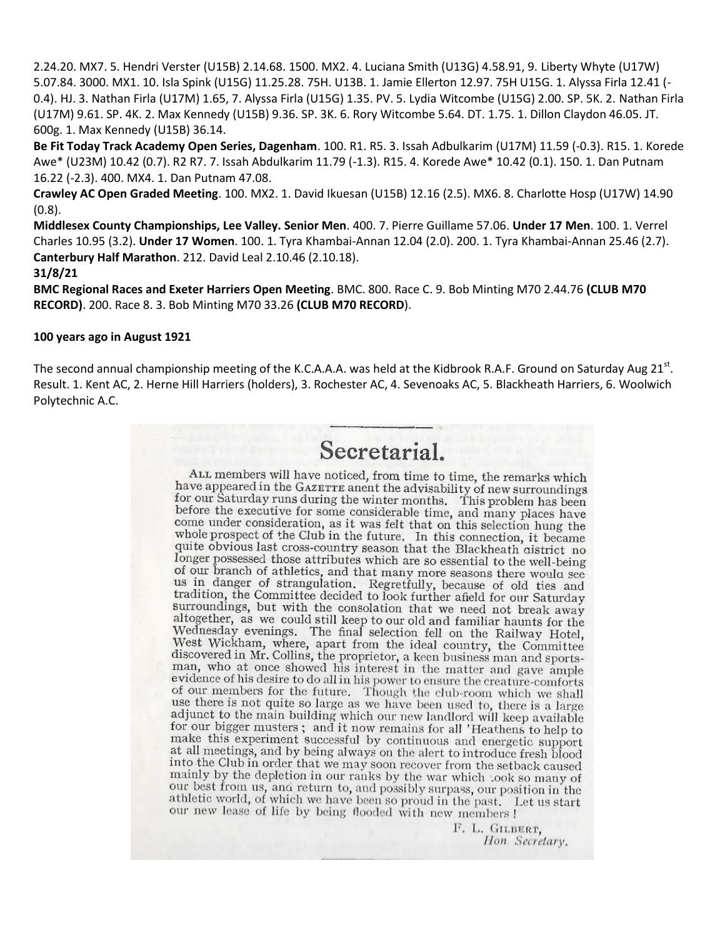2.24.20. MX7. 5. Hendri Verster (U15B) 2.14.68. 1500. MX2. 4. Luciana Smith (U13G) 4.58.91, 9. Liberty Whyte (U17W) 5.07.84. 3000. MX1. 10. Isla Spink (U15G) 11.25.28. 75H. U13B. 1. Jamie Ellerton 12.97. 75H U15G. 1. Alyssa Firla 12.41 (- 0.4). HJ. 3. Nathan Firla (U17M) 1.65, 7. Alyssa Firla (U15G) 1.35. PV. 5. Lydia Witcombe (U15G) 2.00. SP. 5K. 2. Nathan Firla (U17M) 9.61. SP. 4K. 2. Max Kennedy (U15B) 9.36. SP. 3K. 6. Rory Witcombe 5.64. DT. 1.75. 1. Dillon Claydon 46.05. JT. 600g. 1. Max Kennedy (U15B) 36.14.

**Be Fit Today Track Academy Open Series, Dagenham**. 100. R1. R5. 3. Issah Adbulkarim (U17M) 11.59 (-0.3). R15. 1. Korede Awe\* (U23M) 10.42 (0.7). R2 R7. 7. Issah Abdulkarim 11.79 (-1.3). R15. 4. Korede Awe\* 10.42 (0.1). 150. 1. Dan Putnam 16.22 (-2.3). 400. MX4. 1. Dan Putnam 47.08.

**Crawley AC Open Graded Meeting**. 100. MX2. 1. David Ikuesan (U15B) 12.16 (2.5). MX6. 8. Charlotte Hosp (U17W) 14.90 (0.8).

**Middlesex County Championships, Lee Valley. Senior Men**. 400. 7. Pierre Guillame 57.06. **Under 17 Men**. 100. 1. Verrel Charles 10.95 (3.2). **Under 17 Women**. 100. 1. Tyra Khambai-Annan 12.04 (2.0). 200. 1. Tyra Khambai-Annan 25.46 (2.7). **Canterbury Half Marathon**. 212. David Leal 2.10.46 (2.10.18).

#### **31/8/21**

**BMC Regional Races and Exeter Harriers Open Meeting**. BMC. 800. Race C. 9. Bob Minting M70 2.44.76 **(CLUB M70 RECORD)**. 200. Race 8. 3. Bob Minting M70 33.26 **(CLUB M70 RECORD**).

#### **100 years ago in August 1921**

The second annual championship meeting of the K.C.A.A.A. was held at the Kidbrook R.A.F. Ground on Saturday Aug 21<sup>st</sup>. Result. 1. Kent AC, 2. Herne Hill Harriers (holders), 3. Rochester AC, 4. Sevenoaks AC, 5. Blackheath Harriers, 6. Woolwich Polytechnic A.C.

# Secretarial.

ALL members will have noticed, from time to time, the remarks which have appeared in the GAZETTE anent the advisability of new surroundings for our Saturday runs during the winter months. This problem has been<br>before the executive for some considerable time, and many places have come under consideration, as it was felt that on this selection hung the<br>whole probability which was felt that on this selection hung the whole prospect of the Club in the future. In this connection, it became quite obvious last cross-country season that the Blackheath district no longer possessed those attributes which are so essential to the well-being of our branch of athletics, and that many more seasons there would see us in danger of strangulation. Regretfully, because of old ties and<br>tradition, the Committee decided to look further afield for our Saturday<br>surrounding surroundings, but with the consolation that we need not break away surfoundings, but with the consolation that we need not break away<br>altogether, as we could still keep to our old and familiar haunts for the<br>Wednesday evenings. The final selection fell on the Railway Hotel,<br>West Wickham, evidence of his desire to do all in his power to ensure the creature-comforts of our members for the future. Though the club-room which we shall use there is not quite so large as we have been used to, there is a large adjunct to the main building which our new landlord will keep available for our bigger musters; and it now remains for all 'Heathens to help to make this experiment successful by continuous and energetic support at all meetings, and by being always on the alert to introduce fresh blood into the Club in order that we may soon recover from the setback caused mainly by the depletion in our ranks by the war which took so many of our best from us, and return to, and possibly surpass, our position in the athletic world, of which we have been so proud in the past. Let us start our new lease of life by being flooded with new members !

> F. L. GILBERT. Hon Secretary.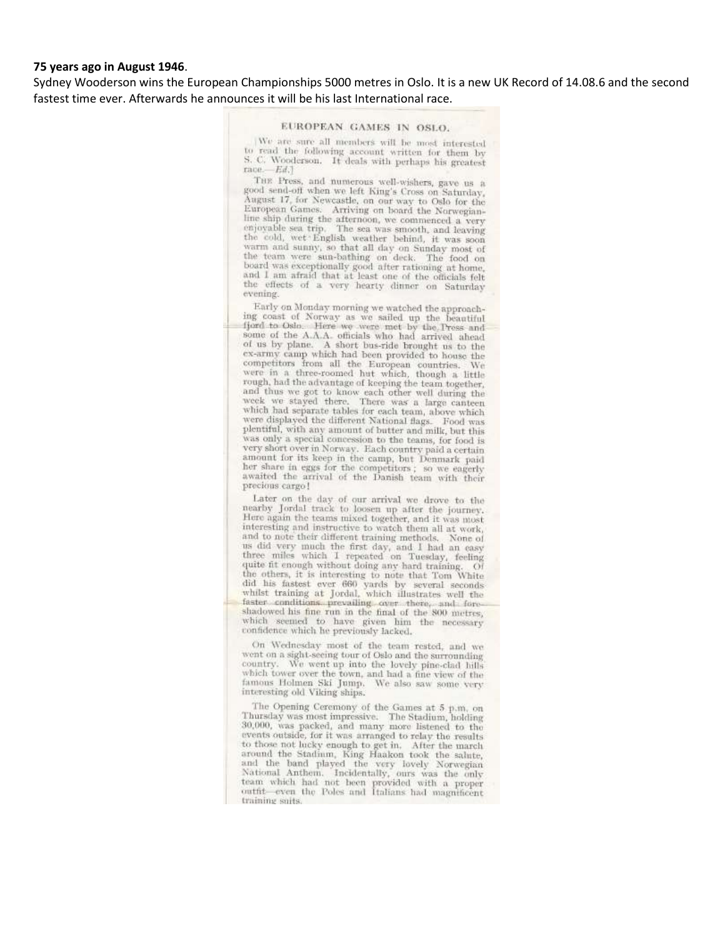#### **75 years ago in August 1946**.

Sydney Wooderson wins the European Championships 5000 metres in Oslo. It is a new UK Record of 14.08.6 and the second fastest time ever. Afterwards he announces it will be his last International race.

#### EUROPEAN GAMES IN OSLO.

We are sure all members will be most interested to read the following account written for them by<br>S. C. Wooderson. It deals with perhaps his greatest  $face - Ed.1$ 

THE Press, and numerous well-wishers, gave us a good send-off when we left King's Cross on Saturday. August 17, for Newcastle, on our way to Oslo for the<br>European Games. Arriving on board the Norwegianline ship during the afternoon, we commenced a very enjoyable sea trip. The sea was smooth, and leaving enjoyable sea trip, the sea was smooth, and leaving<br>the cold, wet English weather behind, it was soon<br>warm and sunny, so that all day on Sunday most of<br>the team were sun-bathing on deck. The food on<br>board was exceptionally and I am afraid that at least one of the officials felt the effects of a very hearty dinner on Saturday evening.

Early on Monday morning we watched the approaching coast of Norway as we sailed up the beautiful fjord to Oslo. Here we were met by the Press and space to Osio. Here we were met by the Press and<br>some of the A.A.A. officials who had arrived ahead<br>of us by plane. A short bus-ride brought us to the<br>ex-army camp which had been provided to house the<br>comportions from all examy camp which had been provided to house the<br>competitors from all the European countries. We<br>were in a three-roomed hut which, though a little rough, had the advantage of keeping the team together, couply, and thus we got to know each other well during the<br>and thus we got to know each other well during the<br>week we stayed there. There was a large canteen<br>which had separate tables for each team, above which were displayed the different National flags. Food was plentiful, with any amount of butter and milk, but this was only a special concession to the teams, for food is very short over in Norway. Each country paid a certain amount for its keep in the camp, but Denmark paid her share in eggs for the competitors; so we eagerly awaited the arrival of the Danish team with their precious cargo!

Later on the day of our arrival we drove to the nearby Jordal track to loosen up after the journey.<br>Here again the teams mixed together, and it was most interesting and instructive to watch them all at work, and to note their different training methods. None of us did very much the first day, and I had an easy<br>three miles which I repeated on Tuesday, feeling quite fit enough without doing any hard training. Of the others, it is interesting to note that Tom White did his fastest ever 660 yards by several seconds whilst training at Jordal, which illustrates well the faster conditions prevailing over there, and foreshadowed his fine run in the final of the 800 metres, which seemed to have given him the necessary confidence which he previously lacked.

On Wednesday most of the team rested, and we went on a sight-seeing tour of Oslo and the surrounding board on a signa-seeing tour of Osio and the surrounding<br>country. We went up into the lovely pine-clad hills<br>which tower over the town, and had a fine view of the famous Holmen Ski Jump. We also saw some very interesting old Viking ships.

The Opening Ceremony of the Games at 5 p.m. on Thursday was most impressive. The Stadium, holding 1103814y was most impressive. The stadium, holding<br>30,000, was packed, and many more listened to the<br>events outside, for it was arranged to relay the results to those not lucky enough to get in. After the march around the Stadium, King Haakon took the salute, and the band played the very lovely Norwegian<br>National Anthem. Incidentally, ours was the only team which had not been provided with a proper outfit—even the Poles and Italians had magnificent training soits.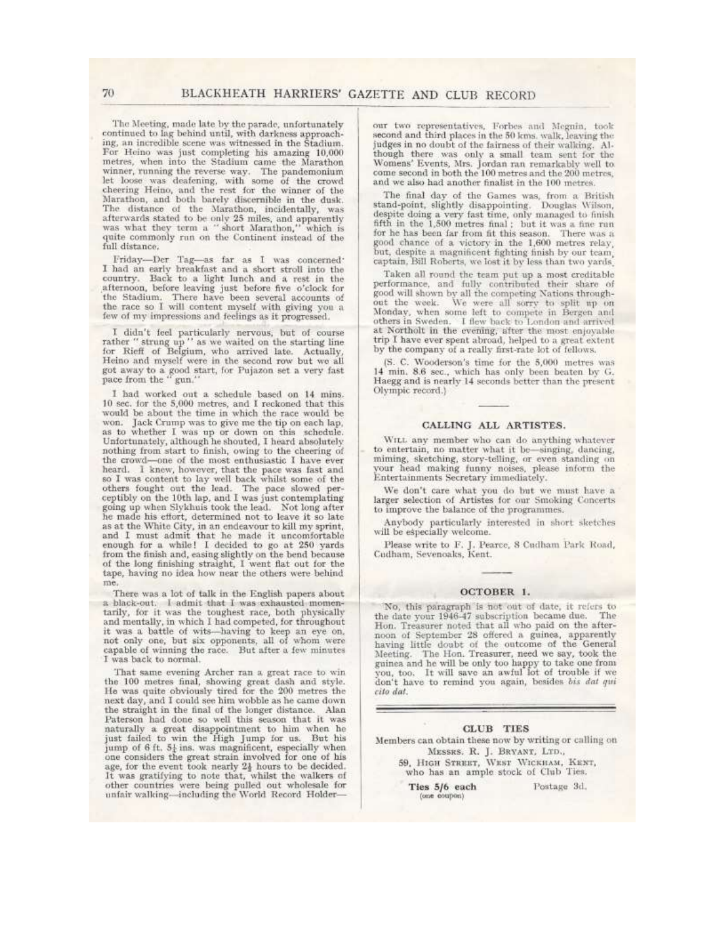The Meeting, made late by the parade, unfortunately continued to lag behind until, with darkness approaching, an incredible scene was witnessed in the Stadium. For Heino was just completing his amazing 10,000 metres, when into the Stadium came the Marathon winner, running the reverse way. The pandemonium<br>let loose was deafening, with some of the crowd<br>cheering Heino, and the rest for the winner of the<br>Marathon, and both barely discernible in the dusk. The distance of the Marathon, incidentally, was<br>afterwards stated to be only 25 miles, and apparently<br>was what they term a "short Marathon," which is quite commonly run on the Continent instead of the full distance.

Friday-Der Tag-as far as I was concerned: I had an early breakfast and a short stroll into the country. Back to a light lunch and a rest in the afternoon, before leaving just before five o'clock for the Stadium. There have been several accounts of the race so I will content myself with giving you a few of my impressions and feelings as it progressed.

I didn't feel particularly nervous, but of course<br>rather "strung up " as we waited on the starting line<br>for Rieff of Belgium, who arrived late. Actually,<br>Heino and myself were in the second row but we all got away to a good start, for Pujazon set a very fast pace from the "gun."

 $\,$  I had worked out a schedule based on  $14\,$  mins.  $10$  sec. for the  $5,\!000$  metres, and I reckoned that this would be about the time in which the race would be won. Jack Crump was to give me the tip on each lap, as to whether I was up or down on this schedule.<br>Unfortunately, although he shouted, I heard absolutely nothing from start to finish, owing to the cheering of<br>the crowd-one of the most enthusiastic I have ever the crowd—one of the most enthusiastic I have ever<br>heard. I knew, however, that the pace was fast and<br>others of lwas content to lay well back whilst some of the<br>others fought out the lead. The pace slowed per-<br>ceptibly on ne mane must control in an endeavour to kill my sprint,<br>and I must admit that he made it uncomfortable<br>enough for a while! I decided to go at 250 yards<br>from the finish and, easing slightly on the bend because of the long finishing straight, I went flat out for the tape, having no idea how near the others were behind me.

There was a lot of talk in the English papers about a black-out. I admit that I was exhausted momentarily, for it was the toughest race, both physically and mentally, in which I had competed, for throughout it was a battle of wits-having to keep an eye on, not only one, but six opponents, all of whom were capable of winning the race. But after a few minutes I was back to normal.

That same evening Archer ran a great race to win<br>the 100 metres final, showing great dash and style.<br>He was quite obviously tired for the 200 metres the next day, and I could see him wobble as he came down<br>the straight in the final of the longer distance. Alan Paterson had done so well this season that it was naturally a great disappointment to him when he just failed to win the High Jump for us. But his jump of  $6 \text{ ft}$ ,  $5\frac{1}{4}$  ins, was magnificent, especially when The considers the great strain involved for one of his age, for the event took nearly  $2\frac{1}{2}$  hours to be decided.<br>It was gratifying to note that, whilst the walkers of other countries were being pulled out wholesale f

our two representatives. Forbes and Megnin, took second and third places in the 50 kms, walk, leaving the second and untu places in the ou stos. was, reaving and<br>judges in no doubt of the fairmess of their walking. Al-<br>though there was only a small team sent for the<br>Womens' Events, Mrs. Jordan ran remarkably well to<br>come secon and we also had another finalist in the 100 metres.

The final day of the Games was, from a British stand-point, slightly disappointing. Douglas Wilson, despite doing a very fast time, only managed to finish fifth in the 1,500 metres final; but it was a fine run for he has been far from fit this season. There was a good chance of a victory in the 1,600 metres relay, but, despite a magnificent fighting finish by our team, captain, Bill Roberts, we lost it by less than two yards.

Taken all round the team put up a most creditable performance, and fully contributed their share of<br>good will shown by all the competing Nations through-<br>out the week. We were all sorry to split up on Monday, when some left to compete in Bergen and others in Sweden. I flew back to London and arrived at Northolt in the evening, after the most enjoyable trip I have ever spent abroad, helped to a great extent by the company of a really first-rate lot of fellows.

(S. C. Wooderson's time for the 5,000 metres was 14 min. 8.6 sec., which has only been beaten by G. Haegg and is nearly 14 seconds better than the present Olympic record.)

#### CALLING ALL ARTISTES.

WILL any member who can do anything whatever to entertain, no matter what it be-singing, dancing, miming, sketching, story-telling, or even standing on your head making funny noises, please inform the Entertainments Secretary immediately.

We don't care what you do but we must have a larger selection of Artistes for our Smoking Concerts to improve the balance of the programmes.

Anybody particularly interested in short sketches will be especially welcome.

Please write to F. J. Pearce, 8 Cudham Park Road, Cudham, Sevenoaks, Kent.

#### OCTOBER 1.

No, this paragraph is not out of date, it refers to the date your 1946-47 subscription became due. The Hon. Treasurer noted that all who paid on the afternoon of September 28 offered a guinea, apparently<br>having little doubt of the outcome of the General<br>Meeting. The Hon. Treasurer, need we say, took the guinea and he will be only too happy to take one from<br>you, too. It will save an awful lot of trouble if we don't have to remind you again, besides bis dat qui cito dat.

#### **CLUB** TIES

Members can obtain these now by writing or calling on MESSRS. R. J. BRYANT, LTD., 59, HIGH STREET, WEST WICKHAM, KENT, who has an ample stock of Club Ties.

> Ties 5/6 each (one coupon)

Postage 3d.

70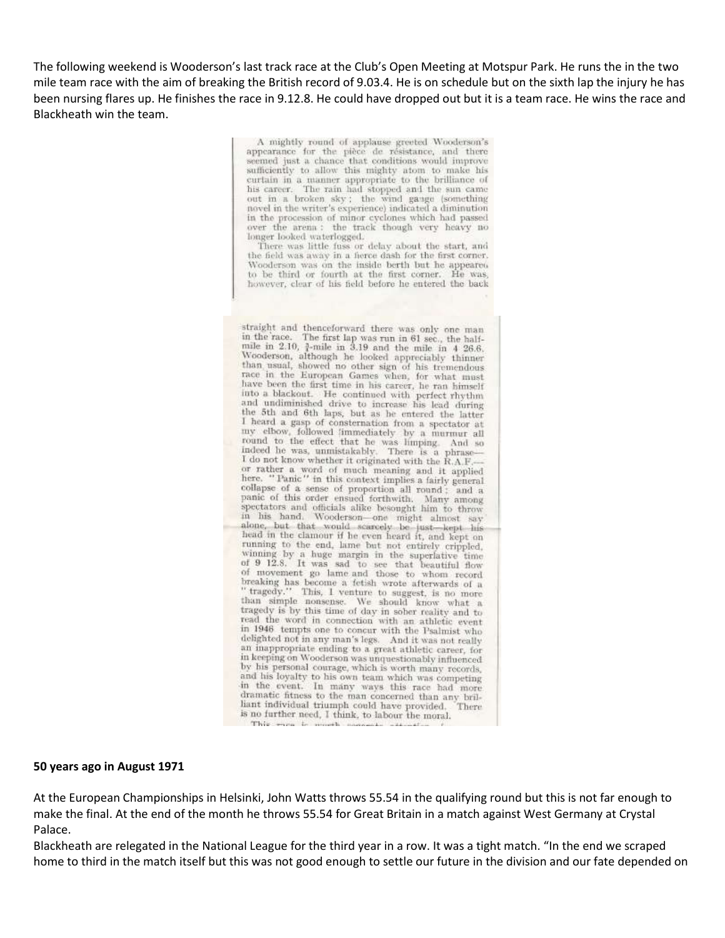The following weekend is Wooderson's last track race at the Club's Open Meeting at Motspur Park. He runs the in the two mile team race with the aim of breaking the British record of 9.03.4. He is on schedule but on the sixth lap the injury he has been nursing flares up. He finishes the race in 9.12.8. He could have dropped out but it is a team race. He wins the race and Blackheath win the team.

> A mightly round of applause greeted Wooderson's appearance for the pièce de résistance, and there seemed just a chance that conditions would improve sufficiently to allow this mighty atom to make his curtain in a manner appropriate to the brilliance of his career. The rain had stopped and the sun came out in a broken sky; the wind gauge (something novel in the writer's experience) indicated a diminution in the procession of minor cyclones which had passed over the arena : the track though very heavy no longer looked waterlogged.

> There was little fuss or delay about the start, and the field was away in a fierce dash for the first corner. Wooderson was on the inside berth but he appeared to be third or fourth at the first corner. He was, however, clear of his field before he entered the back

straight and thenceforward there was only one man in the race. The first lap was run in 61 sec., the half-<br>mile in 2.10,  $\frac{3}{4}$ -mile in 3.19 and the mile in 4 26.6. Wooderson, although he looked appreciably thinner than usual, showed no other sign of his tremendous race in the European Games when, for what must have been the first time in his career, he ran himself into a blackout. He continued with perfect rhythm<br>and undiminished drive to increase his lead during the 5th and 6th laps, but as he entered the latter I heard a gasp of consternation from a spectator at Figure 1 gasp of consternation from a spectator at the vas himping. And so round to the effect that he was limping. And so indeed he was, unmistakably. There is a phrase— I do not know whether it originated with the R.A.F. or rather a word of much meaning and it applied<br>here. "Panic" in this context implies a fairly general<br>here. "Panic" in this context implies a fairly general collapse of a sense of proportion all round; and a panic of this order ensued forthwith. Many among spectators and officials alike besought him to throw<br>in his hand. Wooderson one might almost say alone, but that would scarcely be just—kept his<br>head in the clamour if he even heard it, and kept on running to the end, lame but not entirely crippled, vinning by a huge margin in the superlative time<br>of 9 12.8. It was sad to see that beautiful flow<br>of movement go lame and those to whom record breaking has become a fetish wrote afterwards of a<br>tragedy." This, I venture to suggest, is no more<br>than simple noncome W<sub>n</sub> W<sub>n</sub> than simple nonsense. We should know what a tragedy is by this time of day in sober reality and to read the word in connection with an athletic event in 1946 tempts one to concur with the Psalmist who delighted not in any man's legs. And it was not really an inappropriate ending to a great athletic career, for in keeping on Wooderson was unquestionably influenced by his personal courage, which is worth many records, and his loyalty to his own team which was competing<br>in the event. In many ways this race had more dramatic fitness to the man concerned than any brilliant individual triumph could have provided. There is no further need, I think, to labour the moral. This ways to a  $+11$ 

#### **50 years ago in August 1971**

At the European Championships in Helsinki, John Watts throws 55.54 in the qualifying round but this is not far enough to make the final. At the end of the month he throws 55.54 for Great Britain in a match against West Germany at Crystal Palace.

Blackheath are relegated in the National League for the third year in a row. It was a tight match. "In the end we scraped home to third in the match itself but this was not good enough to settle our future in the division and our fate depended on